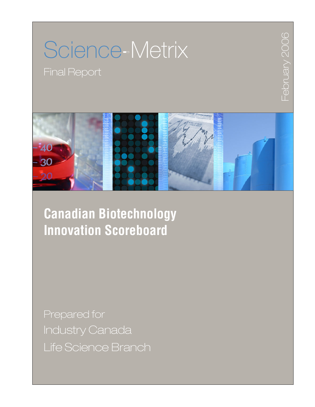# Science Metrix

Final Report



February 2006 February 2006

**Canadian Biotechnology Innovation Scoreboard** 

Prepared for Industry Canada Life Science Branch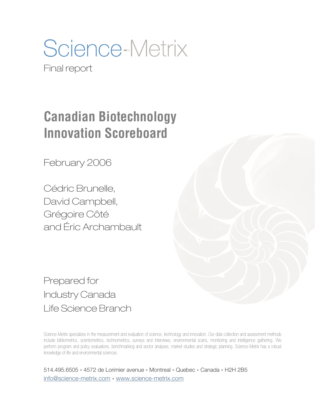Science-Metrix

Final report

# **Canadian Biotechnology Innovation Scoreboard**

February 2006

Cédric Brunelle, David Campbell, Grégoire Côté and Éric Archambault

Prepared for Industry Canada Life Science Branch

Science-Metrix specializes in the measurement and evaluation of science, technology and innovation. Our data collection and assessment methods include bibliometrics, scientometrics, technometrics, surveys and interviews, environmental scans, monitoring and intelligence gathering. We perform program and policy evaluations, benchmarking and sector analyses, market studies and strategic planning. Science-Metrix has a robust knowledge of life and environmental sciences.

514.495.6505 4572 de Lorimier avenue Montreal Quebec Canada H2H 2B5 info@science-metrix.com · www.science-metrix.com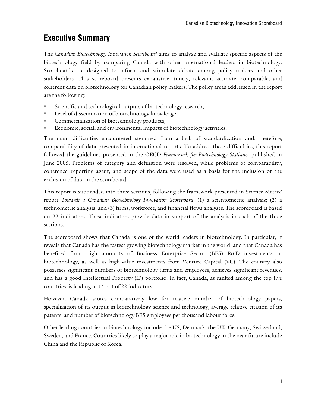# **Executive Summary**

The *Canadian Biotechnology Innovation Scoreboard* aims to analyze and evaluate specific aspects of the biotechnology field by comparing Canada with other international leaders in biotechnology. Scoreboards are designed to inform and stimulate debate among policy makers and other stakeholders. This scoreboard presents exhaustive, timely, relevant, accurate, comparable, and coherent data on biotechnology for Canadian policy makers. The policy areas addressed in the report are the following:

- Scientific and technological outputs of biotechnology research;
- Level of dissemination of biotechnology knowledge;
- **Commercialization of biotechnology products;**
- Economic, social, and environmental impacts of biotechnology activities.

The main difficulties encountered stemmed from a lack of standardization and, therefore, comparability of data presented in international reports. To address these difficulties, this report followed the guidelines presented in the OECD *Framework for Biotechnology Statistics,* published in June 2005. Problems of category and definition were resolved, while problems of comparability, coherence, reporting agent, and scope of the data were used as a basis for the inclusion or the exclusion of data in the scoreboard.

This report is subdivided into three sections, following the framework presented in Science-Metrix' report *Towards a Canadian Biotechnology Innovation Scoreboard*: (1) a scientometric analysis; (2) a technometric analysis; and (3) firms, workforce, and financial flows analyses. The scoreboard is based on 22 indicators. These indicators provide data in support of the analysis in each of the three sections.

The scoreboard shows that Canada is one of the world leaders in biotechnology. In particular, it reveals that Canada has the fastest growing biotechnology market in the world, and that Canada has benefited from high amounts of Business Enterprise Sector (BES) R&D investments in biotechnology, as well as high-value investments from Venture Capital (VC). The country also possesses significant numbers of biotechnology firms and employees, achieves significant revenues, and has a good Intellectual Property (IP) portfolio. In fact, Canada, as ranked among the top five countries, is leading in 14 out of 22 indicators.

However, Canada scores comparatively low for relative number of biotechnology papers, specialization of its output in biotechnology science and technology, average relative citation of its patents, and number of biotechnology BES employees per thousand labour force.

Other leading countries in biotechnology include the US, Denmark, the UK, Germany, Switzerland, Sweden, and France. Countries likely to play a major role in biotechnology in the near future include China and the Republic of Korea.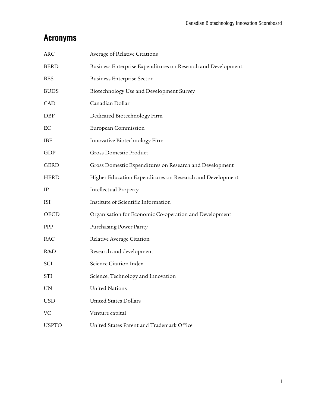# **Acronyms**

| <b>ARC</b>   | Average of Relative Citations                                |
|--------------|--------------------------------------------------------------|
| <b>BERD</b>  | Business Enterprise Expenditures on Research and Development |
| <b>BES</b>   | <b>Business Enterprise Sector</b>                            |
| <b>BUDS</b>  | Biotechnology Use and Development Survey                     |
| CAD          | Canadian Dollar                                              |
| DBF          | Dedicated Biotechnology Firm                                 |
| EС           | European Commission                                          |
| <b>IBF</b>   | Innovative Biotechnology Firm                                |
| GDP          | <b>Gross Domestic Product</b>                                |
| <b>GERD</b>  | Gross Domestic Expenditures on Research and Development      |
| <b>HERD</b>  | Higher Education Expenditures on Research and Development    |
| IP           | <b>Intellectual Property</b>                                 |
| ISI          | Institute of Scientific Information                          |
| OECD         | Organisation for Economic Co-operation and Development       |
| <b>PPP</b>   | Purchasing Power Parity                                      |
| RAC          | Relative Average Citation                                    |
| R&D          | Research and development                                     |
| <b>SCI</b>   | Science Citation Index                                       |
| <b>STI</b>   | Science, Technology and Innovation                           |
| <b>UN</b>    | <b>United Nations</b>                                        |
| <b>USD</b>   | <b>United States Dollars</b>                                 |
| VC           | Venture capital                                              |
| <b>USPTO</b> | United States Patent and Trademark Office                    |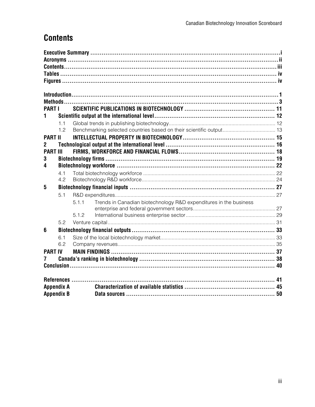# **Contents**

| <b>PART I</b>     |            |       |                                                                   |  |
|-------------------|------------|-------|-------------------------------------------------------------------|--|
| 1                 |            |       |                                                                   |  |
|                   | 1.1        |       |                                                                   |  |
|                   | 1.2        |       |                                                                   |  |
| <b>PART II</b>    |            |       |                                                                   |  |
| 2                 |            |       |                                                                   |  |
| <b>PART III</b>   |            |       |                                                                   |  |
| 3                 |            |       |                                                                   |  |
| 4                 |            |       |                                                                   |  |
|                   | 4.1        |       |                                                                   |  |
|                   | 4.2        |       |                                                                   |  |
| 5                 |            |       |                                                                   |  |
|                   | 5.1        |       |                                                                   |  |
|                   |            | 5.1.1 | Trends in Canadian biotechnology R&D expenditures in the business |  |
|                   |            | 5.1.2 |                                                                   |  |
|                   | 5.2        |       |                                                                   |  |
|                   |            |       |                                                                   |  |
| $6\phantom{1}6$   |            |       |                                                                   |  |
|                   | 6.1<br>6.2 |       |                                                                   |  |
|                   |            |       |                                                                   |  |
| <b>PART IV</b>    |            |       |                                                                   |  |
|                   |            |       |                                                                   |  |
|                   |            |       |                                                                   |  |
|                   |            |       |                                                                   |  |
| <b>Appendix A</b> |            |       |                                                                   |  |
| <b>Appendix B</b> |            |       |                                                                   |  |
|                   |            |       |                                                                   |  |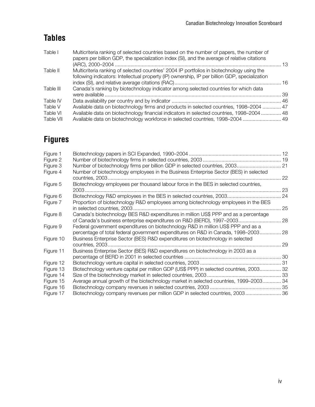# **Tables**

| Table I   | Multicriteria ranking of selected countries based on the number of papers, the number of<br>papers per billion GDP, the specialization index (SI), and the average of relative citations |  |
|-----------|------------------------------------------------------------------------------------------------------------------------------------------------------------------------------------------|--|
| Table II  | Multicriteria ranking of selected countries' 2004 IP portfolios in biotechnology using the                                                                                               |  |
|           | following indicators: Intellectual property (IP) ownership, IP per billion GDP, specialization                                                                                           |  |
|           |                                                                                                                                                                                          |  |
| Table III | Canada's ranking by biotechnology indicator among selected countries for which data                                                                                                      |  |
|           |                                                                                                                                                                                          |  |
| Table IV  |                                                                                                                                                                                          |  |
| Table V   | Available data on biotechnology firms and products in selected countries, 1998–2004  47                                                                                                  |  |
| Table VI  | Available data on biotechnology financial indicators in selected countries, 1998-2004  48                                                                                                |  |
| Table VII | Available data on biotechnology workforce in selected countries, 1998-2004  49                                                                                                           |  |
|           |                                                                                                                                                                                          |  |

# **Figures**

| Figure 1  |                                                                                                                                                                      |      |
|-----------|----------------------------------------------------------------------------------------------------------------------------------------------------------------------|------|
| Figure 2  |                                                                                                                                                                      |      |
| Figure 3  | Number of biotechnology firms per billion GDP in selected countries, 2003 21                                                                                         |      |
| Figure 4  | Number of biotechnology employees in the Business Enterprise Sector (BES) in selected                                                                                | 22   |
| Figure 5  | Biotechnology employees per thousand labour force in the BES in selected countries,                                                                                  | . 23 |
| Figure 6  | Biotechnology R&D employees in the BES in selected countries, 2003                                                                                                   | . 24 |
| Figure 7  | Proportion of biotechnology R&D employees among biotechnology employees in the BES                                                                                   | 25   |
| Figure 8  | Canada's biotechnology BES R&D expenditures in million US\$ PPP and as a percentage<br>of Canada's business enterprise expenditures on R&D (BERD), 1997-2003         | . 28 |
| Figure 9  | Federal government expenditures on biotechnology R&D in million US\$ PPP and as a<br>percentage of total federal government expenditures on R&D in Canada, 1998–2003 | 28   |
| Figure 10 | Business Enterprise Sector (BES) R&D expenditures on biotechnology in selected                                                                                       | 29   |
| Figure 11 | Business Enterprise Sector (BES) R&D expenditures on biotechnology in 2003 as a                                                                                      |      |
| Figure 12 |                                                                                                                                                                      |      |
| Figure 13 | Biotechnology venture capital per million GDP (US\$ PPP) in selected countries, 2003 32                                                                              |      |
| Figure 14 |                                                                                                                                                                      |      |
| Figure 15 | Average annual growth of the biotechnology market in selected countries, 1999-2003 34                                                                                |      |
| Figure 16 |                                                                                                                                                                      |      |
| Figure 17 | Biotechnology company revenues per million GDP in selected countries, 2003 36                                                                                        |      |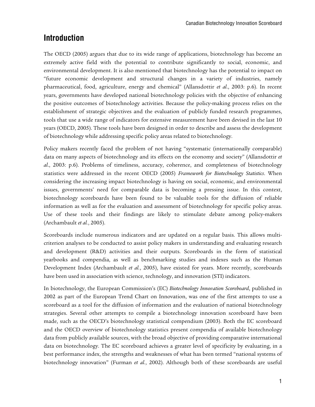# **Introduction**

The OECD (2005) argues that due to its wide range of applications, biotechnology has become an extremely active field with the potential to contribute significantly to social, economic, and environmental development. It is also mentioned that biotechnology has the potential to impact on "future economic development and structural changes in a variety of industries, namely pharmaceutical, food, agriculture, energy and chemical" (Allansdottir *et al*., 2003: p.6). In recent years, governments have developed national biotechnology policies with the objective of enhancing the positive outcomes of biotechnology activities. Because the policy-making process relies on the establishment of strategic objectives and the evaluation of publicly funded research programmes, tools that use a wide range of indicators for extensive measurement have been devised in the last 10 years (OECD, 2005). These tools have been designed in order to describe and assess the development of biotechnology while addressing specific policy areas related to biotechnology.

Policy makers recently faced the problem of not having "systematic (internationally comparable) data on many aspects of biotechnology and its effects on the economy and society" (Allansdottir *et al*., 2003: p.6). Problems of timeliness, accuracy, coherence, and completeness of biotechnology statistics were addressed in the recent OECD (2005) *Framework for Biotechnology Statistics*. When considering the increasing impact biotechnology is having on social, economic, and environmental issues, governments' need for comparable data is becoming a pressing issue. In this context, biotechnology scoreboards have been found to be valuable tools for the diffusion of reliable information as well as for the evaluation and assessment of biotechnology for specific policy areas. Use of these tools and their findings are likely to stimulate debate among policy-makers (Archambault *et al.*, 2005).

Scoreboards include numerous indicators and are updated on a regular basis. This allows multicriterion analyses to be conducted to assist policy makers in understanding and evaluating research and development (R&D) activities and their outputs. Scoreboards in the form of statistical yearbooks and compendia, as well as benchmarking studies and indexes such as the Human Development Index (Archambault *et al.*, 2005), have existed for years. More recently, scoreboards have been used in association with science, technology, and innovation (STI) indicators.

In biotechnology, the European Commission's (EC) *Biotechnology Innovation Scoreboard*, published in 2002 as part of the European Trend Chart on Innovation, was one of the first attempts to use a scoreboard as a tool for the diffusion of information and the evaluation of national biotechnology strategies. Several other attempts to compile a biotechnology innovation scoreboard have been made, such as the OECD's biotechnology statistical compendium (2003). Both the EC scoreboard and the OECD overview of biotechnology statistics present compendia of available biotechnology data from publicly available sources, with the broad objective of providing comparative international data on biotechnology. The EC scoreboard achieves a greater level of specificity by evaluating, in a best performance index, the strengths and weaknesses of what has been termed "national systems of biotechnology innovation" (Furman *et al.*, 2002). Although both of these scoreboards are useful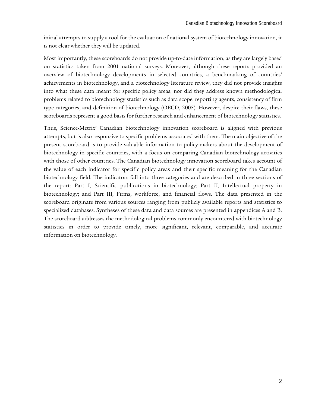initial attempts to supply a tool for the evaluation of national system of biotechnology innovation, it is not clear whether they will be updated.

Most importantly, these scoreboards do not provide up-to-date information, as they are largely based on statistics taken from 2001 national surveys. Moreover, although these reports provided an overview of biotechnology developments in selected countries, a benchmarking of countries' achievements in biotechnology, and a biotechnology literature review, they did not provide insights into what these data meant for specific policy areas, nor did they address known methodological problems related to biotechnology statistics such as data scope, reporting agents, consistency of firm type categories, and definition of biotechnology (OECD, 2005). However, despite their flaws, these scoreboards represent a good basis for further research and enhancement of biotechnology statistics.

Thus, Science-Metrix' Canadian biotechnology innovation scoreboard is aligned with previous attempts, but is also responsive to specific problems associated with them. The main objective of the present scoreboard is to provide valuable information to policy-makers about the development of biotechnology in specific countries, with a focus on comparing Canadian biotechnology activities with those of other countries. The Canadian biotechnology innovation scoreboard takes account of the value of each indicator for specific policy areas and their specific meaning for the Canadian biotechnology field. The indicators fall into three categories and are described in three sections of the report: Part I, Scientific publications in biotechnology; Part II, Intellectual property in biotechnology; and Part III, Firms, workforce, and financial flows. The data presented in the scoreboard originate from various sources ranging from publicly available reports and statistics to specialized databases. Syntheses of these data and data sources are presented in appendices A and B. The scoreboard addresses the methodological problems commonly encountered with biotechnology statistics in order to provide timely, more significant, relevant, comparable, and accurate information on biotechnology.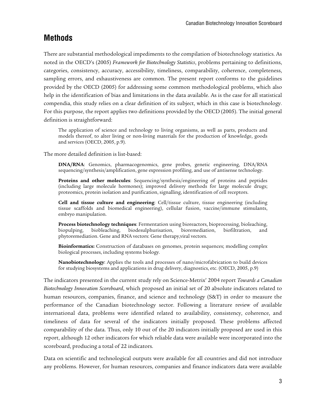# **Methods**

There are substantial methodological impediments to the compilation of biotechnology statistics. As noted in the OECD's (2005) *Framework for Biotechnology Statistics*, problems pertaining to definitions, categories, consistency, accuracy, accessibility, timeliness, comparability, coherence, completeness, sampling errors, and exhaustiveness are common. The present report conforms to the guidelines provided by the OECD (2005) for addressing some common methodological problems, which also help in the identification of bias and limitations in the data available. As is the case for all statistical compendia, this study relies on a clear definition of its subject, which in this case is biotechnology. For this purpose, the report applies two definitions provided by the OECD (2005). The initial general definition is straightforward:

The application of science and technology to living organisms, as well as parts, products and models thereof, to alter living or non-living materials for the production of knowledge, goods and services (OECD, 2005, p.9).

The more detailed definition is list-based:

**DNA/RNA**: Genomics, pharmacogenomics, gene probes, genetic engineering, DNA/RNA sequencing/synthesis/amplification, gene expression profiling, and use of antisense technology.

**Proteins and other molecules**: Sequencing/synthesis/engineering of proteins and peptides (including large molecule hormones); improved delivery methods for large molecule drugs; proteomics, protein isolation and purification, signalling, identification of cell receptors.

**Cell and tissue culture and engineering**: Cell/tissue culture, tissue engineering (including tissue scaffolds and biomedical engineering), cellular fusion, vaccine/immune stimulants, embryo manipulation.

**Process biotechnology techniques**: Fermentation using bioreactors, bioprocessing, bioleaching, biopulping, biobleaching, biodesulphurisation, bioremediation, biofiltration, and phytoremediation. Gene and RNA vectors: Gene therapy,viral vectors.

**Bioinformatics:** Construction of databases on genomes, protein sequences; modelling complex biological processes, including systems biology.

**Nanobiotechnology**: Applies the tools and processes of nano/microfabrication to build devices for studying biosystems and applications in drug delivery, diagnostics, etc. (OECD, 2005, p.9)

The indicators presented in the current study rely on Science-Metrix' 2004 report *Towards a Canadian Biotechnology Innovation Scoreboard*, which proposed an initial set of 20 absolute indicators related to human resources, companies, finance, and science and technology (S&T) in order to measure the performance of the Canadian biotechnology sector. Following a literature review of available international data, problems were identified related to availability, consistency, coherence, and timeliness of data for several of the indicators initially proposed. These problems affected comparability of the data. Thus, only 10 out of the 20 indicators initially proposed are used in this report, although 12 other indicators for which reliable data were available were incorporated into the scoreboard, producing a total of 22 indicators.

Data on scientific and technological outputs were available for all countries and did not introduce any problems. However, for human resources, companies and finance indicators data were available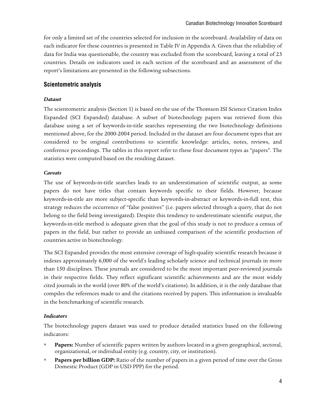for only a limited set of the countries selected for inclusion in the scoreboard. Availability of data on each indicator for these countries is presented in Table IV in Appendix A. Given that the reliability of data for India was questionable, the country was excluded from the scoreboard, leaving a total of 23 countries. Details on indicators used in each section of the scoreboard and an assessment of the report's limitations are presented in the following subsections.

#### **Scientometric analysis**

#### *Dataset*

The scientometric analysis (Section 1) is based on the use of the Thomson ISI Science Citation Index Expanded (SCI Expanded) database. A subset of biotechnology papers was retrieved from this database using a set of keywords-in-title searches representing the two biotechnology definitions mentioned above, for the 2000-2004 period. Included in the dataset are four document types that are considered to be original contributions to scientific knowledge: articles, notes, reviews, and conference proceedings. The tables in this report refer to these four document types as "papers". The statistics were computed based on the resulting dataset.

#### *Caveats*

The use of keywords-in-title searches leads to an underestimation of scientific output, as some papers do not have titles that contain keywords specific to their fields. However, because keywords-in-title are more subject-specific than keywords-in-abstract or keywords-in-full text, this strategy reduces the occurrence of "false positives" (i.e. papers selected through a query, that do not belong to the field being investigated). Despite this tendency to underestimate scientific output, the keywords-in-title method is adequate given that the goal of this study is not to produce a census of papers in the field, but rather to provide an unbiased comparison of the scientific production of countries active in biotechnology.

The SCI Expanded provides the most extensive coverage of high-quality scientific research because it indexes approximately 6,000 of the world's leading scholarly science and technical journals in more than 150 disciplines. These journals are considered to be the most important peer-reviewed journals in their respective fields. They reflect significant scientific achievements and are the most widely cited journals in the world (over 80% of the world's citations). In addition, it is the only database that compiles the references made to and the citations received by papers. This information is invaluable in the benchmarking of scientific research.

#### *Indicators*

The biotechnology papers dataset was used to produce detailed statistics based on the following indicators:

- **Papers:** Number of scientific papers written by authors located in a given geographical, sectoral, organizational, or individual entity (e.g. country, city, or institution).
- **Papers per billion GDP:** Ratio of the number of papers in a given period of time over the Gross Domestic Product (GDP in USD PPP) for the period.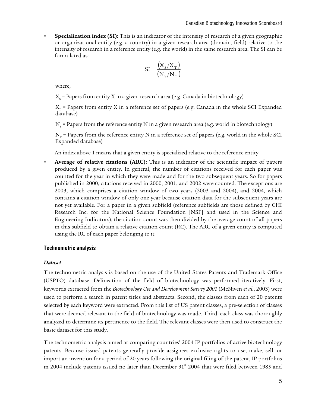**Specialization index (SI):** This is an indicator of the intensity of research of a given geographic or organizational entity (e.g. a country) in a given research area (domain, field) relative to the intensity of research in a reference entity (e.g. the world) in the same research area. The SI can be formulated as:

$$
SI = \frac{(X_s/X_T)}{(N_s/N_T)}
$$

where,

 $X_{\rm s}$  = Papers from entity X in a given research area (e.g. Canada in biotechnology)

 $X<sub>r</sub>$  = Papers from entity X in a reference set of papers (e.g. Canada in the whole SCI Expanded database)

 $\rm N_{\rm s}$  = Papers from the reference entity N in a given research area (e.g. world in biotechnology)

 $N_T$  = Papers from the reference entity N in a reference set of papers (e.g. world in the whole SCI Expanded database)

An index above 1 means that a given entity is specialized relative to the reference entity.

 **Average of relative citations (ARC):** This is an indicator of the scientific impact of papers produced by a given entity. In general, the number of citations received for each paper was counted for the year in which they were made and for the two subsequent years. So for papers published in 2000, citations received in 2000, 2001, and 2002 were counted. The exceptions are 2003, which comprises a citation window of two years (2003 and 2004), and 2004, which contains a citation window of only one year because citation data for the subsequent years are not yet available. For a paper in a given subfield (reference subfields are those defined by CHI Research Inc. for the National Science Foundation [NSF] and used in the Science and Engineering Indicators), the citation count was then divided by the average count of all papers in this subfield to obtain a relative citation count (RC). The ARC of a given entity is computed using the RC of each paper belonging to it.

#### **Technometric analysis**

#### *Dataset*

The technometric analysis is based on the use of the United States Patents and Trademark Office (USPTO) database. Delineation of the field of biotechnology was performed iteratively. First, keywords extracted from the *Biotechnology Use and Development Survey 2001* (McNiven *et al.*, 2003) were used to perform a search in patent titles and abstracts. Second, the classes from each of 20 patents selected by each keyword were extracted. From this list of US patent classes, a pre-selection of classes that were deemed relevant to the field of biotechnology was made. Third, each class was thoroughly analyzed to determine its pertinence to the field. The relevant classes were then used to construct the basic dataset for this study.

The technometric analysis aimed at comparing countries' 2004 IP portfolios of active biotechnology patents. Because issued patents generally provide assignees exclusive rights to use, make, sell, or import an invention for a period of 20 years following the original filing of the patent, IP portfolios in 2004 include patents issued no later than December  $31<sup>st</sup>$  2004 that were filed between 1985 and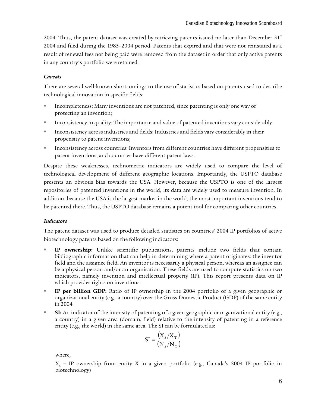2004. Thus, the patent dataset was created by retrieving patents issued no later than December  $31<sup>st</sup>$ 2004 and filed during the 1985–2004 period. Patents that expired and that were not reinstated as a result of renewal fees not being paid were removed from the dataset in order that only active patents in any country's portfolio were retained.

#### *Caveats*

There are several well-known shortcomings to the use of statistics based on patents used to describe technological innovation in specific fields:

- Incompleteness: Many inventions are not patented, since patenting is only one way of protecting an invention;
- Inconsistency in quality: The importance and value of patented inventions vary considerably;
- Inconsistency across industries and fields: Industries and fields vary considerably in their propensity to patent inventions;
- Inconsistency across countries: Inventors from different countries have different propensities to patent inventions, and countries have different patent laws.

Despite these weaknesses, technometric indicators are widely used to compare the level of technological development of different geographic locations. Importantly, the USPTO database presents an obvious bias towards the USA. However, because the USPTO is one of the largest repositories of patented inventions in the world, its data are widely used to measure invention. In addition, because the USA is the largest market in the world, the most important inventions tend to be patented there. Thus, the USPTO database remains a potent tool for comparing other countries.

#### *Indicators*

The patent dataset was used to produce detailed statistics on countries' 2004 IP portfolios of active biotechnology patents based on the following indicators:

- **IP ownership:** Unlike scientific publications, patents include two fields that contain bibliographic information that can help in determining where a patent originates: the inventor field and the assignee field. An inventor is necessarily a physical person, whereas an assignee can be a physical person and/or an organisation. These fields are used to compute statistics on two indicators, namely invention and intellectual property (IP). This report presents data on IP which provides rights on inventions.
- **IP per billion GDP:** Ratio of IP ownership in the 2004 portfolio of a given geographic or organizational entity (e.g., a country) over the Gross Domestic Product (GDP) of the same entity in 2004.
- **SI:** An indicator of the intensity of patenting of a given geographic or organizational entity (e.g., a country) in a given area (domain, field) relative to the intensity of patenting in a reference entity (e.g., the world) in the same area. The SI can be formulated as:

$$
SI = \frac{(X_s/X_T)}{(N_s/N_T)}
$$

where,

 $X_{\rm s}$  = IP ownership from entity X in a given portfolio (e.g., Canada's 2004 IP portfolio in biotechnology)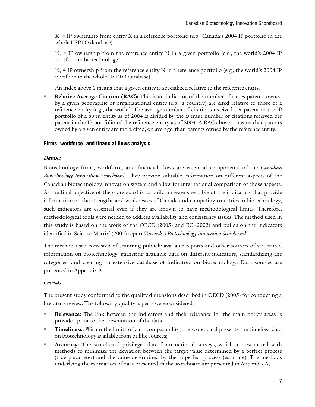$X<sub>r</sub>$  = IP ownership from entity X in a reference portfolio (e.g., Canada's 2004 IP portfolio in the whole USPTO database)

 $N_s$  = IP ownership from the reference entity N in a given portfolio (e.g., the world's 2004 IP portfolio in biotechnology)

 $N_T$  = IP ownership from the reference entity N in a reference portfolio (e.g., the world's 2004 IP portfolio in the whole USPTO database).

An index above 1 means that a given entity is specialized relative to the reference entity.

 **Relative Average Citation (RAC):** This is an indicator of the number of times patents owned by a given geographic or organizational entity (e.g., a country) are cited relative to those of a reference entity (e.g., the world). The average number of citations received per patent in the IP portfolio of a given entity as of 2004 is divided by the average number of citations received per patent in the IP portfolio of the reference entity as of 2004. A RAC above 1 means that patents owned by a given entity are more cited, on average, than patents owned by the reference entity.

#### **Firms, workforce, and financial flows analysis**

#### *Dataset*

Biotechnology firms, workforce, and financial flows are essential components of the *Canadian Biotechnology Innovation Scoreboard*. They provide valuable information on different aspects of the Canadian biotechnology innovation system and allow for international comparison of those aspects. As the final objective of the scoreboard is to build an extensive table of the indicators that provide information on the strengths and weaknesses of Canada and competing countries in biotechnology, such indicators are essential even if they are known to have methodological limits. Therefore, methodological tools were needed to address availability and consistency issues. The method used in this study is based on the work of the OECD (2005) and EC (2002) and builds on the indicators identified in Science-Metrix' (2004) report *Towards a Biotechnology Innovation Scoreboard*.

The method used consisted of scanning publicly available reports and other sources of structured information on biotechnology, gathering available data on different indicators, standardizing the categories, and creating an extensive database of indicators on biotechnology. Data sources are presented in Appendix B.

#### *Caveats*

The present study conformed to the quality dimensions described in OECD (2005) for conducting a literature review. The following quality aspects were considered:

- **Relevance:** The link between the indicators and their relevance for the main policy areas is provided prior to the presentation of the data;
- **Timeliness:** Within the limits of data comparability, the scoreboard presents the timeliest data on biotechnology available from public sources;
- **Accuracy:** The scoreboard privileges data from national surveys, which are estimated with methods to minimize the deviation between the target value determined by a perfect process (true parameter) and the value determined by the imperfect process (estimate). The methods underlying the estimation of data presented in the scoreboard are presented in Appendix A;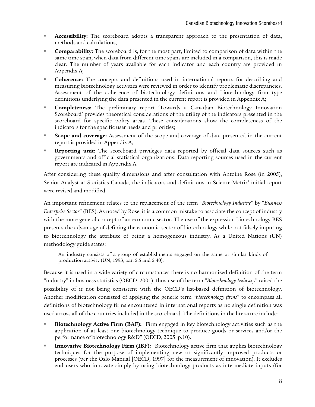- **Accessibility:** The scoreboard adopts a transparent approach to the presentation of data, methods and calculations;
- **Comparability:** The scoreboard is, for the most part, limited to comparison of data within the same time span; when data from different time spans are included in a comparison, this is made clear. The number of years available for each indicator and each country are provided in Appendix A;
- **Coherence:** The concepts and definitions used in international reports for describing and measuring biotechnology activities were reviewed in order to identify problematic discrepancies. Assessment of the coherence of biotechnology definitions and biotechnology firm type definitions underlying the data presented in the current report is provided in Appendix A;
- **Completeness:** The preliminary report 'Towards a Canadian Biotechnology Innovation Scoreboard' provides theoretical considerations of the utility of the indicators presented in the scoreboard for specific policy areas. These considerations show the completeness of the indicators for the specific user needs and priorities;
- **Scope and coverage:** Assessment of the scope and coverage of data presented in the current report is provided in Appendix A;
- **Reporting unit:** The scoreboard privileges data reported by official data sources such as governments and official statistical organizations. Data reporting sources used in the current report are indicated in Appendix A.

After considering these quality dimensions and after consultation with Antoine Rose (in 2005), Senior Analyst at Statistics Canada, the indicators and definitions in Science-Metrix' initial report were revised and modified.

An important refinement relates to the replacement of the term "*Biotechnology Industry*" by "*Business Enterprise Sector*" (BES). As noted by Rose, it is a common mistake to associate the concept of industry with the more general concept of an economic sector. The use of the expression biotechnology BES presents the advantage of defining the economic sector of biotechnology while not falsely imputing to biotechnology the attribute of being a homogeneous industry. As a United Nations (UN) methodology guide states:

An industry consists of a group of establishments engaged on the same or similar kinds of production activity (UN, 1993, par. 5.5 and 5.40).

Because it is used in a wide variety of circumstances there is no harmonized definition of the term "industry" in business statistics (OECD, 2001); thus use of the term "*Biotechnology Industry*" raised the possibility of it not being consistent with the OECD's list-based definition of biotechnology. Another modification consisted of applying the generic term "*biotechnology firms*" to encompass all definitions of biotechnology firms encountered in international reports as no single definition was used across all of the countries included in the scoreboard. The definitions in the literature include:

- **Biotechnology Active Firm (BAF):** "Firm engaged in key biotechnology activities such as the application of at least one biotechnology technique to produce goods or services and/or the performance of biotechnology R&D" (OECD, 2005, p.10).
- **Innovative Biotechnology Firm (IBF):** "Biotechnology active firm that applies biotechnology techniques for the purpose of implementing new or significantly improved products or processes (per the Oslo Manual [OECD, 1997] for the measurement of innovation). It excludes end users who innovate simply by using biotechnology products as intermediate inputs (for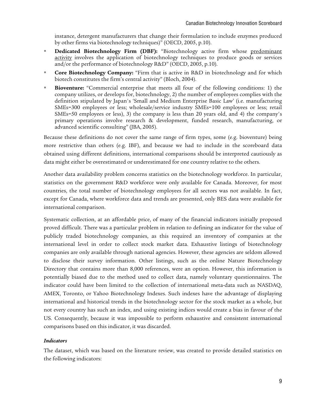instance, detergent manufacturers that change their formulation to include enzymes produced by other firms via biotechnology techniques)" (OECD, 2005, p.10).

- **Dedicated Biotechnology Firm (DBF):** "Biotechnology active firm whose predominant activity involves the application of biotechnology techniques to produce goods or services and/or the performance of biotechnology R&D" (OECD, 2005, p.10).
- **Core Biotechnology Company:** "Firm that is active in R&D in biotechnology and for which biotech constitutes the firm's central activity" (Bloch, 2004).
- **Bioventure:** "Commercial enterprise that meets all four of the following conditions: 1) the company utilizes, or develops for, biotechnology, 2) the number of employees complies with the definition stipulated by Japan's 'Small and Medium Enterprise Basic Law' (i.e. manufacturing SMEs=300 employees or less; wholesale/service industry SMEs=100 employees or less; retail SMEs=50 employees or less), 3) the company is less than 20 years old, and 4) the company's primary operations involve research & development, funded research, manufacturing, or advanced scientific consulting" (JBA, 2005).

Because these definitions do not cover the same range of firm types, some (e.g. bioventure) being more restrictive than others (e.g. IBF), and because we had to include in the scoreboard data obtained using different definitions, international comparisons should be interpreted cautiously as data might either be overestimated or underestimated for one country relative to the others.

Another data availability problem concerns statistics on the biotechnology workforce. In particular, statistics on the government R&D workforce were only available for Canada. Moreover, for most countries, the total number of biotechnology employees for all sectors was not available. In fact, except for Canada, where workforce data and trends are presented, only BES data were available for international comparison.

Systematic collection, at an affordable price, of many of the financial indicators initially proposed proved difficult. There was a particular problem in relation to defining an indicator for the value of publicly traded biotechnology companies, as this required an inventory of companies at the international level in order to collect stock market data. Exhaustive listings of biotechnology companies are only available through national agencies. However, these agencies are seldom allowed to disclose their survey information. Other listings, such as the online Nature Biotechnology Directory that contains more than 8,000 references, were an option. However, this information is potentially biased due to the method used to collect data, namely voluntary questionnaires. The indicator could have been limited to the collection of international meta-data such as NASDAQ, AMEX, Toronto, or Yahoo Biotechnology Indexes. Such indexes have the advantage of displaying international and historical trends in the biotechnology sector for the stock market as a whole, but not every country has such an index, and using existing indices would create a bias in favour of the US. Consequently, because it was impossible to perform exhaustive and consistent international comparisons based on this indicator, it was discarded.

#### *Indicators*

The dataset, which was based on the literature review, was created to provide detailed statistics on the following indicators: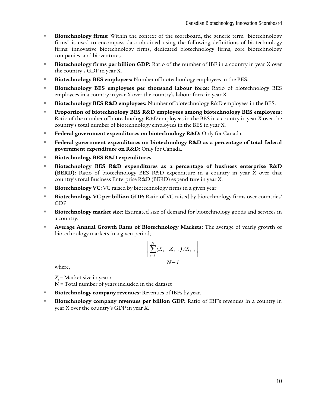- **Biotechnology firms:** Within the context of the scoreboard, the generic term "biotechnology" firms" is used to encompass data obtained using the following definitions of biotechnology firms: innovative biotechnology firms, dedicated biotechnology firms, core biotechnology companies, and bioventures.
- **Biotechnology firms per billion GDP:** Ratio of the number of IBF in a country in year X over the country's GDP in year X.
- **Biotechnology BES employees:** Number of biotechnology employees in the BES.
- **Biotechnology BES employees per thousand labour force:** Ratio of biotechnology BES employees in a country in year X over the country's labour force in year X.
- **Biotechnology BES R&D employees:** Number of biotechnology R&D employees in the BES.
- **Proportion of biotechnology BES R&D employees among biotechnology BES employees:** Ratio of the number of biotechnology R&D employees in the BES in a country in year X over the country's total number of biotechnology employees in the BES in year X.
- **Federal government expenditures on biotechnology R&D:** Only for Canada.
- **Federal government expenditures on biotechnology R&D as a percentage of total federal government expenditure on R&D:** Only for Canada.
- **Biotechnology BES R&D expenditures**
- **Biotechnology BES R&D expenditures as a percentage of business enterprise R&D (BERD):** Ratio of biotechnology BES R&D expenditure in a country in year X over that country's total Business Enterprise R&D (BERD) expenditure in year X.
- **Biotechnology VC:** VC raised by biotechnology firms in a given year.
- **Biotechnology VC per billion GDP:** Ratio of VC raised by biotechnology firms over countries' GDP.
- **Biotechnology market size:** Estimated size of demand for biotechnology goods and services in a country.
- **Average Annual Growth Rates of Biotechnology Markets:** The average of yearly growth of biotechnology markets in a given period;

$$
\frac{\left[\sum_{i=2}^{N} (X_i - X_{i-1})/X_{i-1}\right]}{N-1}
$$

where,

*Xi* = Market size in year *i*

N = Total number of years included in the dataset

- **Biotechnology company revenues:** Revenues of IBFs by year.
- **Biotechnology company revenues per billion GDP:** Ratio of IBF's revenues in a country in year X over the country's GDP in year X.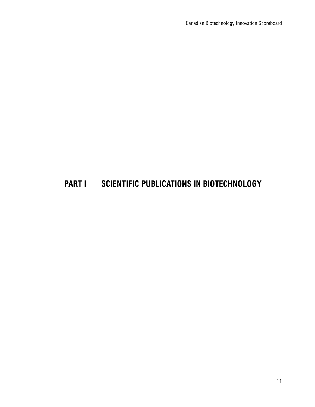# **PART I SCIENTIFIC PUBLICATIONS IN BIOTECHNOLOGY**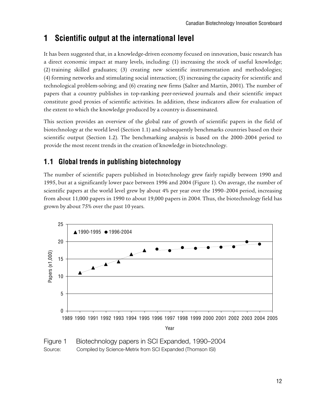# **1 Scientific output at the international level**

It has been suggested that, in a knowledge-driven economy focused on innovation, basic research has a direct economic impact at many levels, including: (1) increasing the stock of useful knowledge; (2) training skilled graduates; (3) creating new scientific instrumentation and methodologies; (4) forming networks and stimulating social interaction; (5) increasing the capacity for scientific and technological problem-solving; and (6) creating new firms (Salter and Martin, 2001). The number of papers that a country publishes in top-ranking peer-reviewed journals and their scientific impact constitute good proxies of scientific activities. In addition, these indicators allow for evaluation of the extent to which the knowledge produced by a country is disseminated.

This section provides an overview of the global rate of growth of scientific papers in the field of biotechnology at the world level (Section 1.1) and subsequently benchmarks countries based on their scientific output (Section 1.2). The benchmarking analysis is based on the 2000–2004 period to provide the most recent trends in the creation of knowledge in biotechnology.

### **1.1 Global trends in publishing biotechnology**

The number of scientific papers published in biotechnology grew fairly rapidly between 1990 and 1995, but at a significantly lower pace between 1996 and 2004 (Figure 1). On average, the number of scientific papers at the world level grew by about 4% per year over the 1990–2004 period, increasing from about 11,000 papers in 1990 to about 19,000 papers in 2004. Thus, the biotechnology field has grown by about 75% over the past 10 years.



Figure 1 Biotechnology papers in SCI Expanded, 1990–2004 Source: Compiled by Science-Metrix from SCI Expanded (Thomson ISI)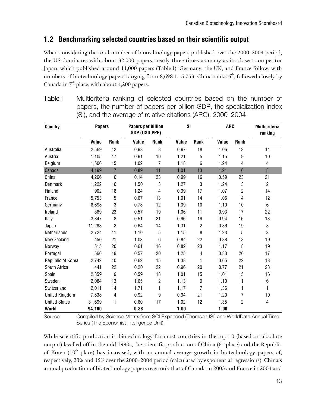### **1.2 Benchmarking selected countries based on their scientific output**

When considering the total number of biotechnology papers published over the 2000–2004 period, the US dominates with about 32,000 papers, nearly three times as many as its closest competitor Japan, which published around 11,000 papers (Table I). Germany, the UK, and France follow, with numbers of biotechnology papers ranging from 8,698 to 5,753. China ranks  $6<sup>th</sup>$ , followed closely by Canada in  $7<sup>th</sup>$  place, with about 4,200 papers.

| <b>Country</b>        | <b>Papers</b> |                | <b>Papers per billion</b><br><b>GDP (USD PPP)</b> |                | <b>SI</b> |      | <b>ARC</b> |      | <b>Multicriteria</b><br>ranking |
|-----------------------|---------------|----------------|---------------------------------------------------|----------------|-----------|------|------------|------|---------------------------------|
|                       | Value         | Rank           | Value                                             | Rank           | Value     | Rank | Value      | Rank |                                 |
| Australia             | 2,569         | 12             | 0.93                                              | 8              | 0.97      | 18   | 1.06       | 13   | 14                              |
| Austria               | 1,105         | 17             | 0.91                                              | 10             | 1.21      | 5    | 1.15       | 9    | 10                              |
| Belgium               | 1,506         | 15             | 1.02                                              | 7              | 1.18      | 6    | 1.24       | 4    | 4                               |
| Canada                | 4,199         | $\overline{7}$ | 0.89                                              | 11             | 1.01      | 13   | 1.21       | 6    | 8                               |
| China                 | 4,266         | 6              | 0.14                                              | 23             | 0.99      | 16   | 0.59       | 23   | 21                              |
| Denmark               | 1,222         | 16             | 1.50                                              | 3              | 1.27      | 3    | 1.24       | 3    | $\overline{2}$                  |
| Finland               | 902           | 18             | 1.24                                              | 4              | 0.99      | 17   | 1.07       | 12   | 14                              |
| France                | 5,753         | 5              | 0.67                                              | 13             | 1.01      | 14   | 1.06       | 14   | 12                              |
| Germany               | 8,698         | 3              | 0.78                                              | 12             | 1.09      | 10   | 1.10       | 10   | 6                               |
| Ireland               | 369           | 23             | 0.57                                              | 19             | 1.06      | 11   | 0.93       | 17   | 22                              |
| Italy                 | 3,847         | 8              | 0.51                                              | 21             | 0.96      | 19   | 0.94       | 16   | 18                              |
| Japan                 | 11,288        | $\overline{c}$ | 0.64                                              | 14             | 1.31      | 2    | 0.86       | 19   | 8                               |
| Netherlands           | 2,724         | 11             | 1.10                                              | 5              | 1.15      | 8    | 1.23       | 5    | 3                               |
| New Zealand           | 450           | 21             | 1.03                                              | 6              | 0.84      | 22   | 0.88       | 18   | 19                              |
| Norway                | 515           | 20             | 0.61                                              | 16             | 0.82      | 23   | 1.17       | 8    | 19                              |
| Portugal              | 566           | 19             | 0.57                                              | 20             | 1.25      | 4    | 0.83       | 20   | 17                              |
| Republic of Korea     | 2,742         | 10             | 0.62                                              | 15             | 1.38      | 1    | 0.65       | 22   | 13                              |
| South Africa          | 441           | 22             | 0.20                                              | 22             | 0.96      | 20   | 0.77       | 21   | 23                              |
| Spain                 | 2,859         | 9              | 0.59                                              | 18             | 1.01      | 15   | 1.01       | 15   | 16                              |
| Sweden                | 2,084         | 13             | 1.65                                              | $\overline{c}$ | 1.13      | 9    | 1.10       | 11   | 6                               |
| Switzerland           | 2,011         | 14             | 1.71                                              | 1              | 1.17      | 7    | 1.36       | 1    | 1                               |
| <b>United Kingdom</b> | 7,838         | 4              | 0.92                                              | 9              | 0.94      | 21   | 1.20       | 7    | 10                              |
| <b>United States</b>  | 31,699        | 1              | 0.60                                              | 17             | 1.02      | 12   | 1.35       | 2    | 4                               |
| World                 | 94,160        |                | 0.38                                              |                | 1.00      |      | 1.00       |      |                                 |

Table I Multicriteria ranking of selected countries based on the number of papers, the number of papers per billion GDP, the specialization index (SI), and the average of relative citations (ARC), 2000–2004

Source: Compiled by Science-Metrix from SCI Expanded (Thomson ISI) and WorldData Annual Time Series (The Economist Intelligence Unit)

While scientific production in biotechnology for most countries in the top 10 (based on absolute output) levelled off in the mid 1990s, the scientific production of China ( $6<sup>th</sup>$  place) and the Republic of Korea ( $10<sup>th</sup>$  place) has increased, with an annual average growth in biotechnology papers of, respectively, 23% and 15% over the 2000–2004 period (calculated by exponential regressions). China's annual production of biotechnology papers overtook that of Canada in 2003 and France in 2004 and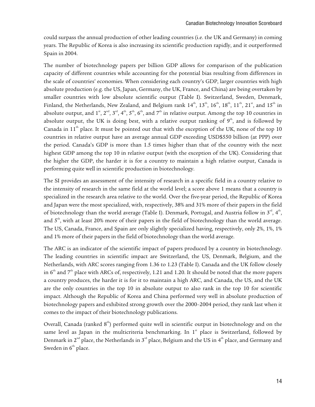could surpass the annual production of other leading countries (i.e. the UK and Germany) in coming years. The Republic of Korea is also increasing its scientific production rapidly, and it outperformed Spain in 2004.

The number of biotechnology papers per billion GDP allows for comparison of the publication capacity of different countries while accounting for the potential bias resulting from differences in the scale of countries' economies. When considering each country's GDP, larger countries with high absolute production (e.g. the US, Japan, Germany, the UK, France, and China) are being overtaken by smaller countries with low absolute scientific output (Table I). Switzerland, Sweden, Denmark, Finland, the Netherlands, New Zealand, and Belgium rank  $14<sup>th</sup>$ ,  $13<sup>th</sup>$ ,  $16<sup>th</sup>$ ,  $18<sup>th</sup>$ ,  $11<sup>th</sup>$ ,  $21<sup>st</sup>$ , and  $15<sup>th</sup>$  in absolute output, and  $1^{st}$ ,  $2^{nd}$ ,  $3^{rd}$ ,  $4^{th}$ ,  $5^{th}$ ,  $6^{th}$ , and  $7^{th}$  in relative output. Among the top 10 countries in absolute output, the UK is doing best, with a relative output ranking of  $9<sup>th</sup>$ , and is followed by Canada in  $11<sup>th</sup>$  place. It must be pointed out that with the exception of the UK, none of the top 10 countries in relative output have an average annual GDP exceeding USD\$550 billion (at PPP) over the period. Canada's GDP is more than 1.5 times higher than that of the country with the next highest GDP among the top 10 in relative output (with the exception of the UK). Considering that the higher the GDP, the harder it is for a country to maintain a high relative output, Canada is performing quite well in scientific production in biotechnology.

The SI provides an assessment of the intensity of research in a specific field in a country relative to the intensity of research in the same field at the world level; a score above 1 means that a country is specialized in the research area relative to the world. Over the five-year period, the Republic of Korea and Japan were the most specialized, with, respectively, 38% and 31% more of their papers in the field of biotechnology than the world average (Table I). Denmark, Portugal, and Austria follow in  $3^{\text{rd}}, 4^{\text{th}}$ , and  $5<sup>th</sup>$ , with at least 20% more of their papers in the field of biotechnology than the world average. The US, Canada, France, and Spain are only slightly specialized having, respectively, only 2%, 1%, 1% and 1% more of their papers in the field of biotechnology than the world average.

The ARC is an indicator of the scientific impact of papers produced by a country in biotechnology. The leading countries in scientific impact are Switzerland, the US, Denmark, Belgium, and the Netherlands, with ARC scores ranging from 1.36 to 1.23 (Table I). Canada and the UK follow closely in  $6<sup>th</sup>$  and  $7<sup>th</sup>$  place with ARCs of, respectively, 1.21 and 1.20. It should be noted that the more papers a country produces, the harder it is for it to maintain a high ARC, and Canada, the US, and the UK are the only countries in the top 10 in absolute output to also rank in the top 10 for scientific impact. Although the Republic of Korea and China performed very well in absolute production of biotechnology papers and exhibited strong growth over the 2000–2004 period, they rank last when it comes to the impact of their biotechnology publications.

Overall, Canada (ranked  $8<sup>th</sup>$ ) performed quite well in scientific output in biotechnology and on the same level as Japan in the multicriteria benchmarking. In  $1<sup>st</sup>$  place is Switzerland, followed by Denmark in 2<sup>nd</sup> place, the Netherlands in 3<sup>rd</sup> place, Belgium and the US in 4<sup>th</sup> place, and Germany and Sweden in  $6<sup>th</sup>$  place.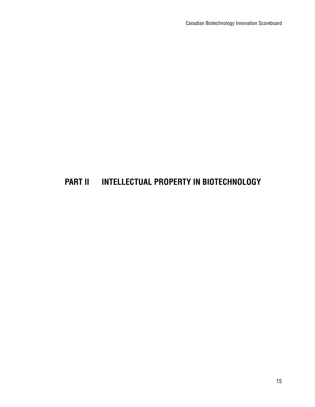# **PART II INTELLECTUAL PROPERTY IN BIOTECHNOLOGY**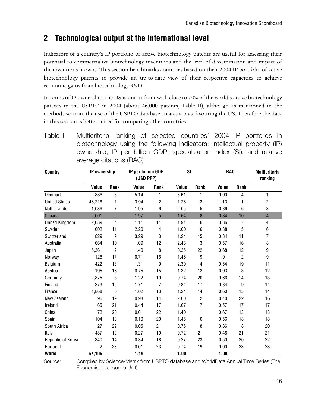# **2 Technological output at the international level**

Indicators of a country's IP portfolio of active biotechnology patents are useful for assessing their potential to commercialize biotechnology inventions and the level of dissemination and impact of the inventions it owns. This section benchmarks countries based on their 2004 IP portfolio of active biotechnology patents to provide an up-to-date view of their respective capacities to achieve economic gains from biotechnology R&D.

In terms of IP ownership, the US is out in front with close to 70% of the world's active biotechnology patents in the USPTO in 2004 (about 46,000 patents, Table II), although as mentioned in the methods section, the use of the USPTO database creates a bias favouring the US. Therefore the data in this section is better suited for comparing other countries.

| <b>Country</b>       | IP ownership   |                | IP per billion GDP<br>(USD PPP) |            | SI    |                | <b>RAC</b> |                | <b>Multicriteria</b><br>ranking |
|----------------------|----------------|----------------|---------------------------------|------------|-------|----------------|------------|----------------|---------------------------------|
|                      | Value          | Rank           | Value                           | Rank       | Value | Rank           | Value      | Rank           |                                 |
| Denmark              | 886            | 8              | 5.14                            | 1          | 5.61  | 1              | 0.90       | 4              | 1                               |
| <b>United States</b> | 46,218         | 1              | 3.94                            | 2          | 1.26  | 13             | 1.13       | 1              | $\overline{\mathbf{c}}$         |
| Netherlands          | 1,036          | 7              | 1.95                            | 6          | 2.05  | 5              | 0.86       | 6              | 3                               |
| Canada               | 2,001          | 5              | 1.97                            | 5          | 1.64  | 8              | 0.84       | 10             | $\overline{4}$                  |
| United Kingdom       | 2,089          | 4              | 1.11                            | 11         | 1.91  | $6\phantom{1}$ | 0.86       | 7              | 4                               |
| Sweden               | 602            | 11             | 2.20                            | 4          | 1.00  | 16             | 0.88       | 5              | $\,6\,$                         |
| Switzerland          | 829            | 9              | 3.29                            | 3          | 1.24  | 15             | 0.84       | 11             | $\overline{7}$                  |
| Australia            | 664            | 10             | 1.09                            | 12         | 2.48  | 3              | 0.57       | 16             | 8                               |
| Japan                | 5,361          | $\overline{c}$ | 1.40                            | 8          | 0.35  | 22             | 0.68       | 12             | $\boldsymbol{9}$                |
| Norway               | 126            | 17             | 0.71                            | 16         | 1.46  | 9              | 1.01       | $\overline{2}$ | 9                               |
| Belgium              | 422            | 13             | 1.31                            | 9          | 2.30  | 4              | 0.54       | 19             | 11                              |
| Austria              | 195            | 16             | 0.75                            | 15         | 1.32  | 12             | 0.93       | 3              | 12                              |
| Germany              | 2,875          | 3              | 1.22                            | 10         | 0.74  | 20             | 0.66       | 14             | 13                              |
| Finland              | 273            | 15             | 1.71                            | 7          | 0.84  | 17             | 0.84       | 9              | 14                              |
| France               | 1,868          | 6              | 1.02                            | 13         | 1.24  | 14             | 0.60       | 15             | 14                              |
| New Zealand          | 96             | 19             | 0.98                            | 14         | 2.60  | $\overline{c}$ | 0.40       | 22             | 16                              |
| Ireland              | 65             | 21             | 0.44                            | 17         | 1.67  | $\overline{7}$ | 0.57       | 17             | 17                              |
| China                | 72             | 20             | 0.01                            | 22         | 1.40  | 11             | 0.67       | 13             | 18                              |
| Spain                | 104            | 18             | 0.10                            | 20         | 1.45  | 10             | 0.56       | 18             | 18                              |
| South Africa         | 27             | 22             | 0.05                            | 21         | 0.75  | 18             | 0.86       | 8              | 20                              |
| Italy                | 437            | 12             | 0.27                            | 19         | 0.72  | 21             | 0.48       | 21             | 21                              |
| Republic of Korea    | 340            | 14             | 18<br>0.34                      |            | 0.27  | 23             | 0.50       | 20             | 22                              |
| Portugal             | $\overline{2}$ | 23             | 0.01                            | 23<br>0.74 |       | 19             | 0.00       | 23             | 23                              |
| World                | 67,106         |                | 1.19                            | 1.00       |       |                | 1.00       |                |                                 |

Table II Multicriteria ranking of selected countries' 2004 IP portfolios in biotechnology using the following indicators: Intellectual property (IP) ownership, IP per billion GDP, specialization index (SI), and relative average citations (RAC)

Source: Compiled by Science-Metrix from USPTO database and WorldData Annual Time Series (The Economist Intelligence Unit)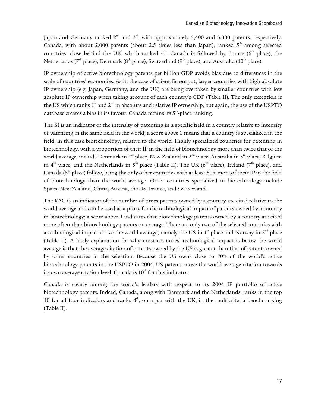Japan and Germany ranked  $2^{nd}$  and  $3^{rd}$ , with approximately 5,400 and 3,000 patents, respectively. Canada, with about 2,000 patents (about 2.5 times less than Japan), ranked  $5<sup>th</sup>$  among selected countries, close behind the UK, which ranked  $4<sup>th</sup>$ . Canada is followed by France ( $6<sup>th</sup>$  place), the Netherlands ( $7<sup>th</sup>$  place), Denmark ( $8<sup>th</sup>$  place), Switzerland ( $9<sup>th</sup>$  place), and Australia ( $10<sup>th</sup>$  place).

IP ownership of active biotechnology patents per billion GDP avoids bias due to differences in the scale of countries' economies. As in the case of scientific output, larger countries with high absolute IP ownership (e.g. Japan, Germany, and the UK) are being overtaken by smaller countries with low absolute IP ownership when taking account of each country's GDP (Table II). The only exception is the US which ranks  $1^{st}$  and  $2^{nd}$  in absolute and relative IP ownership, but again, the use of the USPTO database creates a bias in its favour. Canada retains its  $5<sup>th</sup>$ -place ranking.

The SI is an indicator of the intensity of patenting in a specific field in a country relative to intensity of patenting in the same field in the world; a score above 1 means that a country is specialized in the field, in this case biotechnology, relative to the world. Highly specialized countries for patenting in biotechnology, with a proportion of their IP in the field of biotechnology more than twice that of the world average, include Denmark in 1<sup>st</sup> place, New Zealand in 2<sup>nd</sup> place, Australia in 3<sup>rd</sup> place, Belgium in 4<sup>th</sup> place, and the Netherlands in 5<sup>th</sup> place (Table II). The UK (6<sup>th</sup> place), Ireland (7<sup>th</sup> place), and Canada ( $8<sup>th</sup>$  place) follow, being the only other countries with at least 50% more of their IP in the field of biotechnology than the world average. Other countries specialized in biotechnology include Spain, New Zealand, China, Austria, the US, France, and Switzerland.

The RAC is an indicator of the number of times patents owned by a country are cited relative to the world average and can be used as a proxy for the technological impact of patents owned by a country in biotechnology; a score above 1 indicates that biotechnology patents owned by a country are cited more often than biotechnology patents on average. There are only two of the selected countries with a technological impact above the world average, namely the US in  $1^{\text{st}}$  place and Norway in  $2^{\text{nd}}$  place (Table II). A likely explanation for why most countries' technological impact is below the world average is that the average citation of patents owned by the US is greater than that of patents owned by other countries in the selection. Because the US owns close to 70% of the world's active biotechnology patents in the USPTO in 2004, US patents move the world average citation towards its own average citation level. Canada is  $10<sup>th</sup>$  for this indicator.

Canada is clearly among the world's leaders with respect to its 2004 IP portfolio of active biotechnology patents. Indeed, Canada, along with Denmark and the Netherlands, ranks in the top 10 for all four indicators and ranks  $4<sup>th</sup>$ , on a par with the UK, in the multicriteria benchmarking (Table II).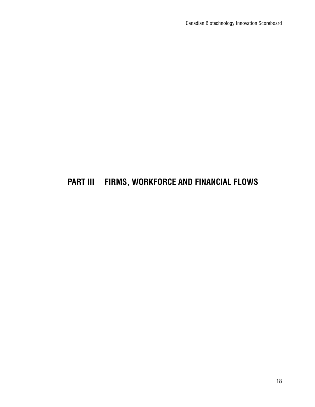# **PART III FIRMS, WORKFORCE AND FINANCIAL FLOWS**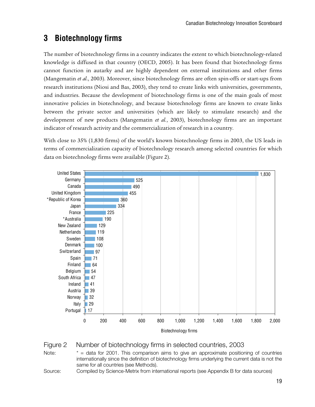# **3 Biotechnology firms**

The number of biotechnology firms in a country indicates the extent to which biotechnology-related knowledge is diffused in that country (OECD, 2005). It has been found that biotechnology firms cannot function in autarky and are highly dependent on external institutions and other firms (Mangematin *et al*., 2003). Moreover, since biotechnology firms are often spin-offs or start-ups from research institutions (Niosi and Bas, 2003), they tend to create links with universities, governments, and industries. Because the development of biotechnology firms is one of the main goals of most innovative policies in biotechnology, and because biotechnology firms are known to create links between the private sector and universities (which are likely to stimulate research) and the development of new products (Mangematin *et al.*, 2003), biotechnology firms are an important indicator of research activity and the commercialization of research in a country.

With close to 35% (1,830 firms) of the world's known biotechnology firms in 2003, the US leads in terms of commercialization capacity of biotechnology research among selected countries for which data on biotechnology firms were available (Figure 2).



Figure 2 Number of biotechnology firms in selected countries, 2003

Note:  $* =$  data for 2001. This comparison aims to give an approximate positioning of countries internationally since the definition of biotechnology firms underlying the current data is not the same for all countries (see Methods).

Source: Compiled by Science-Metrix from international reports (see Appendix B for data sources)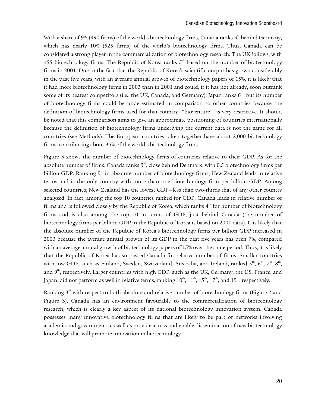With a share of 9% (490 firms) of the world's biotechnology firms, Canada ranks  $3<sup>rd</sup>$  behind Germany, which has nearly 10% (525 firms) of the world's biotechnology firms. Thus, Canada can be considered a strong player in the commercialization of biotechnology research. The UK follows, with 455 biotechnology firms. The Republic of Korea ranks  $5<sup>th</sup>$  based on the number of biotechnology firms in 2001. Due to the fact that the Republic of Korea's scientific output has grown considerably in the past five years, with an average annual growth of biotechnology papers of 15%, it is likely that it had more biotechnology firms in 2003 than in 2001 and could, if it has not already, soon outrank some of its nearest competitors (i.e., the UK, Canada, and Germany). Japan ranks 6<sup>th</sup>, but its number of biotechnology firms could be underestimated in comparison to other countries because the definition of biotechnology firms used for that country—"bioventure"—is very restrictive. It should be noted that this comparison aims to give an approximate positioning of countries internationally because the definition of biotechnology firms underlying the current data is not the same for all countries (see Methods). The European countries taken together have about 2,000 biotechnology firms, contributing about 35% of the world's biotechnology firms.

Figure 3 shows the number of biotechnology firms of countries relative to their GDP. As for the absolute number of firms, Canada ranks  $3<sup>rd</sup>$ , close behind Denmark, with 0.5 biotechnology firms per billion GDP. Ranking 9<sup>th</sup> in absolute number of biotechnology firms, New Zealand leads in relative terms and is the only country with more than one biotechnology firm per billion GDP. Among selected countries, New Zealand has the lowest GDP—less than two-thirds that of any other country analyzed. In fact, among the top 10 countries ranked for GDP, Canada leads in relative number of firms and is followed closely by the Republic of Korea, which ranks  $4<sup>th</sup>$  for number of biotechnology firms and is also among the top 10 in terms of GDP, just behind Canada (the number of biotechnology firms per billion GDP in the Republic of Korea is based on 2001 data). It is likely that the absolute number of the Republic of Korea's biotechnology firms per billion GDP increased in 2003 because the average annual growth of its GDP in the past five years has been 7%, compared with an average annual growth of biotechnology papers of 15% over the same period. Thus, it is likely that the Republic of Korea has surpassed Canada for relative number of firms. Smaller countries with low GDP, such as Finland, Sweden, Switzerland, Australia, and Ireland, ranked  $5^{\text{th}}, 6^{\text{th}}, 7^{\text{th}}, 8^{\text{th}},$ and  $9<sup>th</sup>$ , respectively. Larger countries with high GDP, such as the UK, Germany, the US, France, and Japan, did not perform as well in relative terms, ranking  $10^{th}$ ,  $11^{th}$ ,  $15^{th}$ ,  $17^{th}$ , and  $19^{th}$ , respectively.

Ranking 3<sup>rd</sup> with respect to both absolute and relative number of biotechnology firms (Figure 2 and Figure 3), Canada has an environment favourable to the commercialization of biotechnology research, which is clearly a key aspect of its national biotechnology innovation system. Canada possesses many innovative biotechnology firms that are likely to be part of networks involving academia and governments as well as provide access and enable dissemination of new biotechnology knowledge that will promote innovation in biotechnology.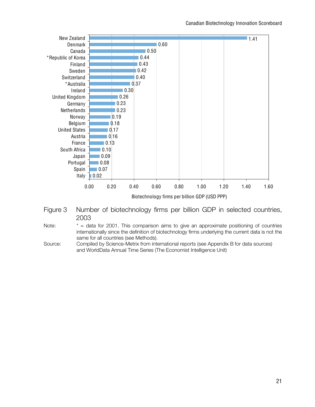

#### Figure 3 Number of biotechnology firms per billion GDP in selected countries, 2003

#### Note:  $* =$  data for 2001. This comparison aims to give an approximate positioning of countries internationally since the definition of biotechnology firms underlying the current data is not the same for all countries (see Methods).

Source: Compiled by Science-Metrix from international reports (see Appendix B for data sources) and WorldData Annual Time Series (The Economist Intelligence Unit)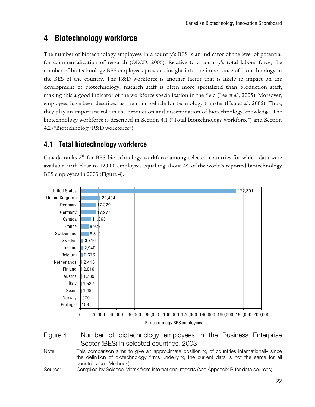# **4 Biotechnology workforce**

The number of biotechnology employees in a country's BES is an indicator of the level of potential for commercialization of research (OECD, 2005). Relative to a country's total labour force, the number of biotechnology BES employees provides insight into the importance of biotechnology in the BES of the country. The R&D workforce is another factor that is likely to impact on the development of biotechnology; research staff is often more specialized than production staff, making this a good indicator of the workforce specialization in the field (Lee *et al.*, 2005). Moreover, employees have been described as the main vehicle for technology transfer (Hsu *et al.*, 2005). Thus, they play an important role in the production and dissemination of biotechnology knowledge. The biotechnology workforce is described in Section 4.1 ("Total biotechnology workforce") and Section 4.2 ("Biotechnology R&D workforce").

### **4.1 Total biotechnology workforce**

Canada ranks 5<sup>th</sup> for BES biotechnology workforce among selected countries for which data were available, with close to 12,000 employees equalling about 4% of the world's reported biotechnology BES employees in 2003 (Figure 4).





Note: This comparison aims to give an approximate positioning of countries internationally since the definition of biotechnology firms underlying the current data is not the same for all countries (see Methods).

Source: Compiled by Science-Metrix from international reports (see Appendix B for data sources).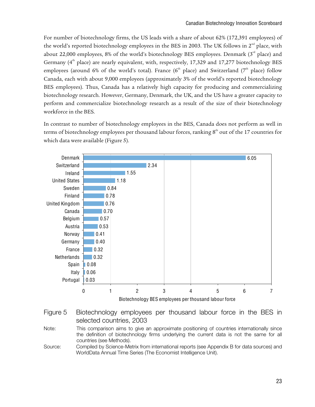For number of biotechnology firms, the US leads with a share of about 62% (172,391 employees) of the world's reported biotechnology employees in the BES in 2003. The UK follows in  $2<sup>nd</sup>$  place, with about 22,000 employees, 8% of the world's biotechnology BES employees. Denmark  $(3<sup>rd</sup>$  place) and Germany  $(4<sup>th</sup>$  place) are nearly equivalent, with, respectively, 17,329 and 17,277 biotechnology BES employees (around 6% of the world's total). France ( $6<sup>th</sup>$  place) and Switzerland ( $7<sup>th</sup>$  place) follow Canada, each with about 9,000 employees (approximately 3% of the world's reported biotechnology BES employees). Thus, Canada has a relatively high capacity for producing and commercializing biotechnology research. However, Germany, Denmark, the UK, and the US have a greater capacity to perform and commercialize biotechnology research as a result of the size of their biotechnology workforce in the BES.

In contrast to number of biotechnology employees in the BES, Canada does not perform as well in terms of biotechnology employees per thousand labour forces, ranking  $8<sup>th</sup>$  out of the 17 countries for which data were available (Figure 5).



Figure 5 Biotechnology employees per thousand labour force in the BES in selected countries, 2003

Note: This comparison aims to give an approximate positioning of countries internationally since the definition of biotechnology firms underlying the current data is not the same for all countries (see Methods).

Source: Compiled by Science-Metrix from international reports (see Appendix B for data sources) and WorldData Annual Time Series (The Economist Intelligence Unit).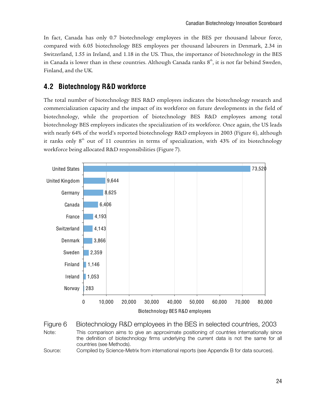In fact, Canada has only 0.7 biotechnology employees in the BES per thousand labour force, compared with 6.05 biotechnology BES employees per thousand labourers in Denmark, 2.34 in Switzerland, 1.55 in Ireland, and 1.18 in the US. Thus, the importance of biotechnology in the BES in Canada is lower than in these countries. Although Canada ranks  $8<sup>th</sup>$ , it is not far behind Sweden, Finland, and the UK.

### **4.2 Biotechnology R&D workforce**

The total number of biotechnology BES R&D employees indicates the biotechnology research and commercialization capacity and the impact of its workforce on future developments in the field of biotechnology, while the proportion of biotechnology BES R&D employees among total biotechnology BES employees indicates the specialization of its workforce. Once again, the US leads with nearly 64% of the world's reported biotechnology R&D employees in 2003 (Figure 6), although it ranks only  $8<sup>th</sup>$  out of 11 countries in terms of specialization, with 43% of its biotechnology workforce being allocated R&D responsibilities (Figure 7).





Source: Compiled by Science-Metrix from international reports (see Appendix B for data sources).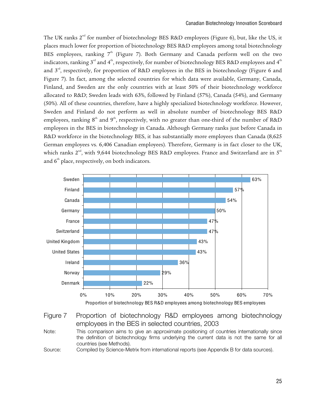The UK ranks  $2<sup>nd</sup>$  for number of biotechnology BES R&D employees (Figure 6), but, like the US, it places much lower for proportion of biotechnology BES R&D employees among total biotechnology BES employees, ranking  $7<sup>th</sup>$  (Figure 7). Both Germany and Canada perform well on the two indicators, ranking  $3<sup>rd</sup>$  and  $4<sup>th</sup>$ , respectively, for number of biotechnology BES R&D employees and  $4<sup>th</sup>$ and  $3<sup>rd</sup>$ , respectively, for proportion of R&D employees in the BES in biotechnology (Figure 6 and Figure 7). In fact, among the selected countries for which data were available, Germany, Canada, Finland, and Sweden are the only countries with at least 50% of their biotechnology workforce allocated to R&D; Sweden leads with 63%, followed by Finland (57%), Canada (54%), and Germany (50%). All of these countries, therefore, have a highly specialized biotechnology workforce. However, Sweden and Finland do not perform as well in absolute number of biotechnology BES R&D employees, ranking  $8<sup>th</sup>$  and  $9<sup>th</sup>$ , respectively, with no greater than one-third of the number of R&D employees in the BES in biotechnology in Canada. Although Germany ranks just before Canada in R&D workforce in the biotechnology BES, it has substantially more employees than Canada (8,625 German employees vs. 6,406 Canadian employees). Therefore, Germany is in fact closer to the UK, which ranks  $2<sup>nd</sup>$ , with 9,644 biotechnology BES R&D employees. France and Switzerland are in  $5<sup>th</sup>$ and  $6<sup>th</sup>$  place, respectively, on both indicators.



Proportion of biotechnology BES R&D employees among biotechnology BES employees

Figure 7 Proportion of biotechnology R&D employees among biotechnology employees in the BES in selected countries, 2003

Note: This comparison aims to give an approximate positioning of countries internationally since the definition of biotechnology firms underlying the current data is not the same for all countries (see Methods).

Source: Compiled by Science-Metrix from international reports (see Appendix B for data sources).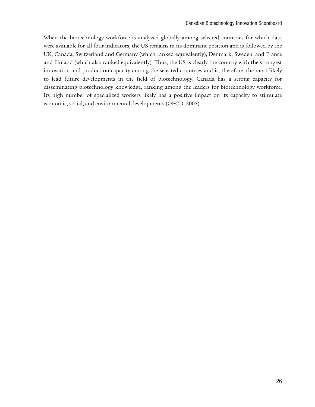When the biotechnology workforce is analyzed globally among selected countries for which data were available for all four indicators, the US remains in its dominant position and is followed by the UK, Canada, Switzerland and Germany (which ranked equivalently), Denmark, Sweden, and France and Finland (which also ranked equivalently). Thus, the US is clearly the country with the strongest innovation and production capacity among the selected countries and is, therefore, the most likely to lead future developments in the field of biotechnology. Canada has a strong capacity for disseminating biotechnology knowledge, ranking among the leaders for biotechnology workforce. Its high number of specialized workers likely has a positive impact on its capacity to stimulate economic, social, and environmental developments (OECD, 2005).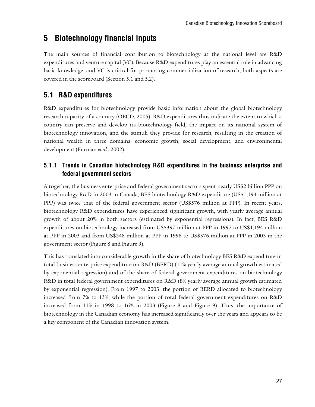### **5 Biotechnology financial inputs**

The main sources of financial contribution to biotechnology at the national level are R&D expenditures and venture capital (VC). Because R&D expenditures play an essential role in advancing basic knowledge, and VC is critical for promoting commercialization of research, both aspects are covered in the scoreboard (Section 5.1 and 5.2).

### **5.1 R&D expenditures**

R&D expenditures for biotechnology provide basic information about the global biotechnology research capacity of a country (OECD, 2005). R&D expenditures thus indicate the extent to which a country can preserve and develop its biotechnology field, the impact on its national system of biotechnology innovation, and the stimuli they provide for research, resulting in the creation of national wealth in three domains: economic growth, social development, and environmental development (Furman *et al.*, 2002).

#### **5.1.1 Trends in Canadian biotechnology R&D expenditures in the business enterprise and federal government sectors**

Altogether, the business enterprise and federal government sectors spent nearly US\$2 billion PPP on biotechnology R&D in 2003 in Canada; BES biotechnology R&D expenditure (US\$1,194 million at PPP) was twice that of the federal government sector (US\$576 million at PPP). In recent years, biotechnology R&D expenditures have experienced significant growth, with yearly average annual growth of about 20% in both sectors (estimated by exponential regressions). In fact, BES R&D expenditures on biotechnology increased from US\$397 million at PPP in 1997 to US\$1,194 million at PPP in 2003 and from US\$248 million at PPP in 1998 to US\$576 million at PPP in 2003 in the government sector (Figure 8 and Figure 9).

This has translated into considerable growth in the share of biotechnology BES R&D expenditure in total business enterprise expenditure on R&D (BERD) (11% yearly average annual growth estimated by exponential regression) and of the share of federal government expenditures on biotechnology R&D in total federal government expenditures on R&D (8% yearly average annual growth estimated by exponential regression). From 1997 to 2003, the portion of BERD allocated to biotechnology increased from 7% to 13%, while the portion of total federal government expenditures on R&D increased from 11% in 1998 to 16% in 2003 (Figure 8 and Figure 9). Thus, the importance of biotechnology in the Canadian economy has increased significantly over the years and appears to be a key component of the Canadian innovation system.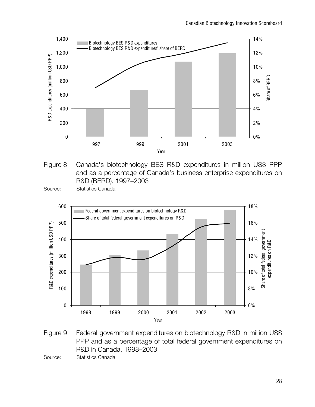

Figure 8 Canada's biotechnology BES R&D expenditures in million US\$ PPP and as a percentage of Canada's business enterprise expenditures on R&D (BERD), 1997–2003

Source: Statistics Canada



Figure 9 Federal government expenditures on biotechnology R&D in million US\$ PPP and as a percentage of total federal government expenditures on R&D in Canada, 1998–2003

Source: Statistics Canada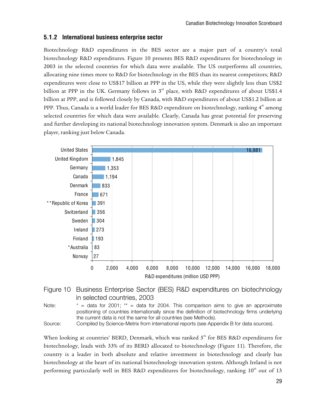#### **5.1.2 International business enterprise sector**

Biotechnology R&D expenditures in the BES sector are a major part of a country's total biotechnology R&D expenditures. Figure 10 presents BES R&D expenditures for biotechnology in 2003 in the selected countries for which data were available. The US outperforms all countries, allocating nine times more to R&D for biotechnology in the BES than its nearest competitors; R&D expenditures were close to US\$17 billion at PPP in the US, while they were slightly less than US\$2 billion at PPP in the UK. Germany follows in  $3<sup>rd</sup>$  place, with R&D expenditures of about US\$1.4 billion at PPP, and is followed closely by Canada, with R&D expenditures of about US\$1.2 billion at PPP. Thus, Canada is a world leader for BES R&D expenditure on biotechnology, ranking  $4^{\text{th}}$  among selected countries for which data were available. Clearly, Canada has great potential for preserving and further developing its national biotechnology innovation system. Denmark is also an important player, ranking just below Canada.



#### Figure 10 Business Enterprise Sector (BES) R&D expenditures on biotechnology in selected countries, 2003

Source: Compiled by Science-Metrix from international reports (see Appendix B for data sources).

When looking at countries' BERD, Denmark, which was ranked  $5<sup>th</sup>$  for BES R&D expenditures for biotechnology, leads with 33% of its BERD allocated to biotechnology (Figure 11). Therefore, the country is a leader in both absolute and relative investment in biotechnology and clearly has biotechnology at the heart of its national biotechnology innovation system. Although Ireland is not performing particularly well in BES R&D expenditures for biotechnology, ranking  $10<sup>th</sup>$  out of 13

Note:  $* =$  data for 2001;  $* =$  data for 2004. This comparison aims to give an approximate positioning of countries internationally since the definition of biotechnology firms underlying the current data is not the same for all countries (see Methods).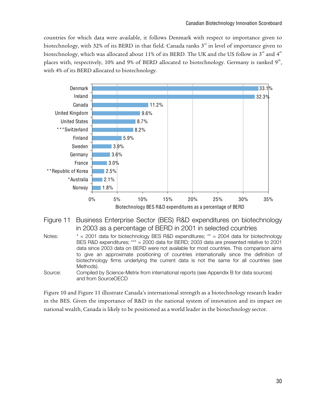countries for which data were available, it follows Denmark with respect to importance given to biotechnology, with 32% of its BERD in that field. Canada ranks  $3<sup>rd</sup>$  in level of importance given to biotechnology, which was allocated about 11% of its BERD. The UK and the US follow in  $3<sup>rd</sup>$  and  $4<sup>th</sup>$ places with, respectively, 10% and 9% of BERD allocated to biotechnology. Germany is ranked  $9<sup>th</sup>$ , with 4% of its BERD allocated to biotechnology.



#### Figure 11 Business Enterprise Sector (BES) R&D expenditures on biotechnology in 2003 as a percentage of BERD in 2001 in selected countries

- Notes: \* = 2001 data for biotechnology BES R&D expenditures; \*\* = 2004 data for biotechnology BES R&D expenditures; \*\*\* = 2000 data for BERD; 2003 data are presented relative to 2001 data since 2003 data on BERD were not available for most countries. This comparison aims to give an approximate positioning of countries internationally since the definition of biotechnology firms underlying the current data is not the same for all countries (see Methods).
- Source: Compiled by Science-Metrix from international reports (see Appendix B for data sources) and from SourceOECD

Figure 10 and Figure 11 illustrate Canada's international strength as a biotechnology research leader in the BES. Given the importance of R&D in the national system of innovation and its impact on national wealth, Canada is likely to be positioned as a world leader in the biotechnology sector.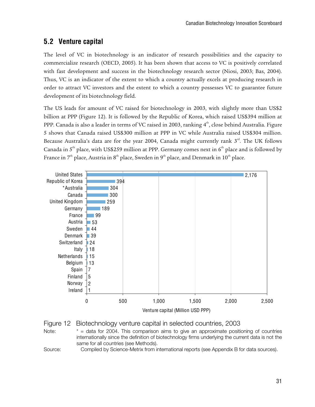### **5.2 Venture capital**

The level of VC in biotechnology is an indicator of research possibilities and the capacity to commercialize research (OECD, 2005). It has been shown that access to VC is positively correlated with fast development and success in the biotechnology research sector (Niosi, 2003; Bas, 2004). Thus, VC is an indicator of the extent to which a country actually excels at producing research in order to attract VC investors and the extent to which a country possesses VC to guarantee future development of its biotechnology field.

The US leads for amount of VC raised for biotechnology in 2003, with slightly more than US\$2 billion at PPP (Figure 12). It is followed by the Republic of Korea, which raised US\$394 million at PPP. Canada is also a leader in terms of VC raised in 2003, ranking 4<sup>th</sup>, close behind Australia. Figure 5 shows that Canada raised US\$300 million at PPP in VC while Australia raised US\$304 million. Because Australia's data are for the year 2004, Canada might currently rank  $3^{rd}$ . The UK follows Canada in  $5<sup>th</sup>$  place, with US\$259 million at PPP. Germany comes next in  $6<sup>th</sup>$  place and is followed by France in  $7<sup>th</sup>$  place, Austria in  $8<sup>th</sup>$  place, Sweden in  $9<sup>th</sup>$  place, and Denmark in  $10<sup>th</sup>$  place.





Note:  $* =$  data for 2004. This comparison aims to give an approximate positioning of countries internationally since the definition of biotechnology firms underlying the current data is not the same for all countries (see Methods).

Source: Compiled by Science-Metrix from international reports (see Appendix B for data sources).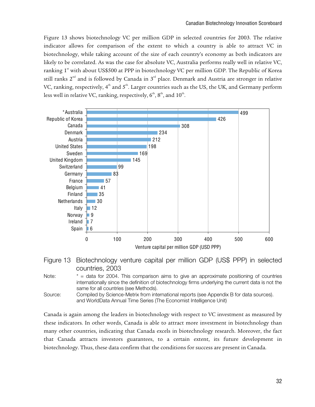Figure 13 shows biotechnology VC per million GDP in selected countries for 2003. The relative indicator allows for comparison of the extent to which a country is able to attract VC in biotechnology, while taking account of the size of each country's economy as both indicators are likely to be correlated. As was the case for absolute VC, Australia performs really well in relative VC, ranking 1<sup>st</sup> with about US\$500 at PPP in biotechnology VC per million GDP. The Republic of Korea still ranks  $2^{nd}$  and is followed by Canada in  $3^{rd}$  place. Denmark and Austria are stronger in relative VC, ranking, respectively,  $4<sup>th</sup>$  and  $5<sup>th</sup>$ . Larger countries such as the US, the UK, and Germany perform less well in relative VC, ranking, respectively,  $6^{\text{th}}, 8^{\text{th}},$  and  $10^{\text{th}}.$ 





Note:  $* =$  data for 2004. This comparison aims to give an approximate positioning of countries internationally since the definition of biotechnology firms underlying the current data is not the same for all countries (see Methods).

Source: Compiled by Science-Metrix from international reports (see Appendix B for data sources). and WorldData Annual Time Series (The Economist Intelligence Unit)

Canada is again among the leaders in biotechnology with respect to VC investment as measured by these indicators. In other words, Canada is able to attract more investment in biotechnology than many other countries, indicating that Canada excels in biotechnology research. Moreover, the fact that Canada attracts investors guarantees, to a certain extent, its future development in biotechnology. Thus, these data confirm that the conditions for success are present in Canada.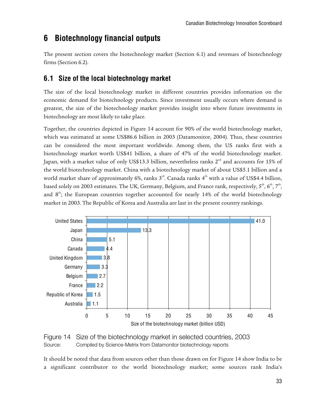# **6 Biotechnology financial outputs**

The present section covers the biotechnology market (Section 6.1) and revenues of biotechnology firms (Section 6.2).

### **6.1 Size of the local biotechnology market**

The size of the local biotechnology market in different countries provides information on the economic demand for biotechnology products. Since investment usually occurs where demand is greatest, the size of the biotechnology market provides insight into where future investments in biotechnology are most likely to take place.

Together, the countries depicted in Figure 14 account for 90% of the world biotechnology market, which was estimated at some US\$86.6 billion in 2003 (Datamonitor, 2004). Thus, these countries can be considered the most important worldwide. Among them, the US ranks first with a biotechnology market worth US\$41 billion, a share of 47% of the world biotechnology market. Japan, with a market value of only US\$13.3 billion, nevertheless ranks 2<sup>nd</sup> and accounts for 15% of the world biotechnology market. China with a biotechnology market of about US\$5.1 billion and a world market share of approximately 6%, ranks  $3<sup>rd</sup>$ . Canada ranks  $4<sup>th</sup>$  with a value of US\$4.4 billion, based solely on 2003 estimates. The UK, Germany, Belgium, and France rank, respectively,  $5^{\text{th}}, 6^{\text{th}}, 7^{\text{th}},$ and  $8^{\text{th}}$ ; the European countries together accounted for nearly 14% of the world biotechnology market in 2003. The Republic of Korea and Australia are last in the present country rankings.





It should be noted that data from sources other than those drawn on for Figure 14 show India to be a significant contributor to the world biotechnology market; some sources rank India's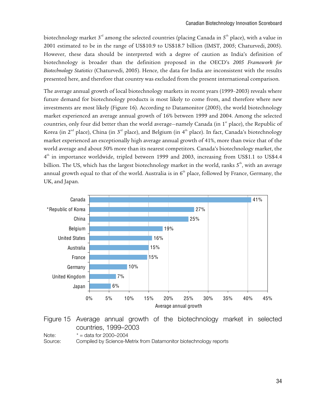biotechnology market  $3<sup>rd</sup>$  among the selected countries (placing Canada in  $5<sup>th</sup>$  place), with a value in 2001 estimated to be in the range of US\$10.9 to US\$18.7 billion (IMST, 2005; Chaturvedi, 2005). However, these data should be interpreted with a degree of caution as India's definition of biotechnology is broader than the definition proposed in the OECD's *2005 Framework for Biotechnology Statistics* (Chaturvedi, 2005). Hence, the data for India are inconsistent with the results presented here, and therefore that country was excluded from the present international comparison.

The average annual growth of local biotechnology markets in recent years (1999–2003) reveals where future demand for biotechnology products is most likely to come from, and therefore where new investments are most likely (Figure 16). According to Datamonitor (2005), the world biotechnology market experienced an average annual growth of 16% between 1999 and 2004. Among the selected countries, only four did better than the world average—namely Canada (in 1<sup>st</sup> place), the Republic of Korea (in  $2^{nd}$  place), China (in  $3^{rd}$  place), and Belgium (in  $4^{th}$  place). In fact, Canada's biotechnology market experienced an exceptionally high average annual growth of 41%, more than twice that of the world average and about 50% more than its nearest competitors. Canada's biotechnology market, the  $4<sup>th</sup>$  in importance worldwide, tripled between 1999 and 2003, increasing from US\$1.1 to US\$4.4 billion. The US, which has the largest biotechnology market in the world, ranks  $5<sup>th</sup>$ , with an average annual growth equal to that of the world. Australia is in  $6<sup>th</sup>$  place, followed by France, Germany, the UK, and Japan.



#### Figure 15 Average annual growth of the biotechnology market in selected countries, 1999–2003

Note:  $* = \text{data for } 2000 - 2004$ 

Source: Compiled by Science-Metrix from Datamonitor biotechnology reports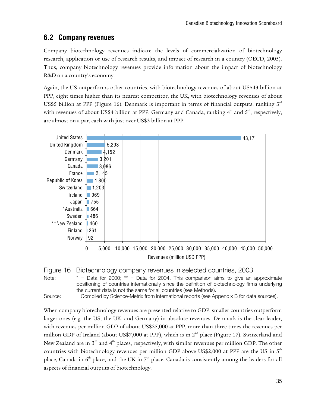### **6.2 Company revenues**

Company biotechnology revenues indicate the levels of commercialization of biotechnology research, application or use of research results, and impact of research in a country (OECD, 2005). Thus, company biotechnology revenues provide information about the impact of biotechnology R&D on a country's economy.

Again, the US outperforms other countries, with biotechnology revenues of about US\$43 billion at PPP, eight times higher than its nearest competitor, the UK, with biotechnology revenues of about US\$5 billion at PPP (Figure 16). Denmark is important in terms of financial outputs, ranking  $3<sup>rd</sup>$ with revenues of about US\$4 billion at PPP. Germany and Canada, ranking  $4<sup>th</sup>$  and  $5<sup>th</sup>$ , respectively, are almost on a par, each with just over US\$3 billion at PPP.





Note:  $* =$  Data for 2000;  $** =$  Data for 2004. This comparison aims to give an approximate positioning of countries internationally since the definition of biotechnology firms underlying the current data is not the same for all countries (see Methods).

Source: Compiled by Science-Metrix from international reports (see Appendix B for data sources).

When company biotechnology revenues are presented relative to GDP, smaller countries outperform larger ones (e.g. the US, the UK, and Germany) in absolute revenues. Denmark is the clear leader, with revenues per million GDP of about US\$25,000 at PPP, more than three times the revenues per million GDP of Ireland (about US\$7,000 at PPP), which is in  $2<sup>nd</sup>$  place (Figure 17). Switzerland and New Zealand are in  $3<sup>rd</sup>$  and  $4<sup>th</sup>$  places, respectively, with similar revenues per million GDP. The other countries with biotechnology revenues per million GDP above US\$2,000 at PPP are the US in  $5<sup>th</sup>$ place, Canada in  $6<sup>th</sup>$  place, and the UK in  $7<sup>th</sup>$  place. Canada is consistently among the leaders for all aspects of financial outputs of biotechnology.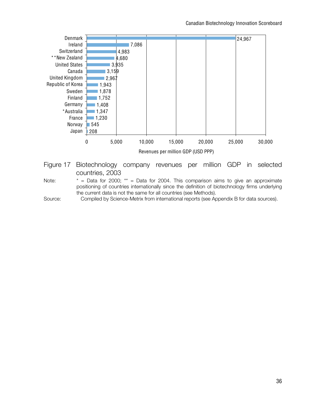

countries, 2003

Note:  $* = Data$  for 2000;  $** = Data$  for 2004. This comparison aims to give an approximate positioning of countries internationally since the definition of biotechnology firms underlying the current data is not the same for all countries (see Methods).

Source: Compiled by Science-Metrix from international reports (see Appendix B for data sources).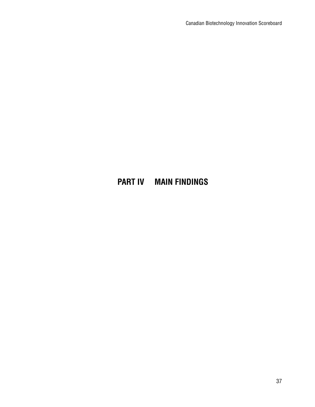# **PART IV MAIN FINDINGS**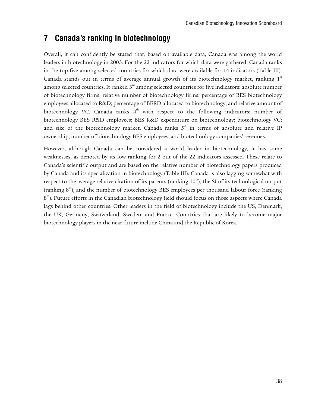# **7 Canada's ranking in biotechnology**

Overall, it can confidently be stated that, based on available data, Canada was among the world leaders in biotechnology in 2003. For the 22 indicators for which data were gathered, Canada ranks in the top five among selected countries for which data were available for 14 indicators (Table III). Canada stands out in terms of average annual growth of its biotechnology market, ranking  $1<sup>st</sup>$ among selected countries. It ranked  $3<sup>rd</sup>$  among selected countries for five indicators: absolute number of biotechnology firms; relative number of biotechnology firms; percentage of BES biotechnology employees allocated to R&D; percentage of BERD allocated to biotechnology; and relative amount of biotechnology VC. Canada ranks  $4<sup>th</sup>$  with respect to the following indicators: number of biotechnology BES R&D employees; BES R&D expenditure on biotechnology; biotechnology VC; and size of the biotechnology market. Canada ranks  $5<sup>th</sup>$  in terms of absolute and relative IP ownership, number of biotechnology BES employees, and biotechnology companies' revenues.

However, although Canada can be considered a world leader in biotechnology, it has some weaknesses, as denoted by its low ranking for 2 out of the 22 indicators assessed. These relate to Canada's scientific output and are based on the relative number of biotechnology papers produced by Canada and its specialization in biotechnology (Table III). Canada is also lagging somewhat with respect to the average relative citation of its patents (ranking  $10<sup>th</sup>$ ), the SI of its technological output (ranking  $8<sup>th</sup>$ ), and the number of biotechnology BES employees per thousand labour force (ranking  $8<sup>th</sup>$ ). Future efforts in the Canadian biotechnology field should focus on those aspects where Canada lags behind other countries. Other leaders in the field of biotechnology include the US, Denmark, the UK, Germany, Switzerland, Sweden, and France. Countries that are likely to become major biotechnology players in the near future include China and the Republic of Korea.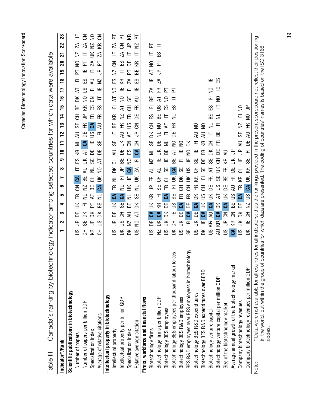| <b>.<br/>מראה המה המי</b><br>ı |
|--------------------------------|
| Į                              |
| Jinnahna Inni Inni In<br>Ξ     |
| אמו המה                        |

| Cause is tarking by conception of private.<br>ll 9l0g l                                                                                                                                                                                                              |                         |             |                  |                  |          | selected       |                |        | countries for which data were |           |               |    |             |                   |                              |                      |                       |                 | avallable                 |               |     |  |
|----------------------------------------------------------------------------------------------------------------------------------------------------------------------------------------------------------------------------------------------------------------------|-------------------------|-------------|------------------|------------------|----------|----------------|----------------|--------|-------------------------------|-----------|---------------|----|-------------|-------------------|------------------------------|----------------------|-----------------------|-----------------|---------------------------|---------------|-----|--|
| Indicator*/Rank                                                                                                                                                                                                                                                      | ↽                       | က<br>ີ      | ෑ                | ما               | ڡ        | Ľ              | $\infty$       | ၜ      | $\overline{\phantom{0}}$      | F         | 12            | 13 | $\sharp$    | 15                | $\frac{6}{1}$                | $\frac{8}{10}$<br>17 | ٩P                    | $\overline{20}$ | 21                        | 22            | 23  |  |
| Scientific publications in biotechnology                                                                                                                                                                                                                             |                         |             |                  |                  |          |                |                |        |                               |           |               |    |             |                   |                              |                      |                       |                 |                           |               |     |  |
| Number of papers                                                                                                                                                                                                                                                     | 乌<br>SU                 | Ж           | $\leq$           | 또                | కె       | $\mathfrak{S}$ |                | SΞ     | Æ                             | $\equiv$  | ₹             | 55 | 공           | 띪                 | 국<br>ă                       |                      | 눈<br>匸                | S               | $\Sigma$                  | $\mathcal{A}$ |     |  |
| Number of papers per billion GDP                                                                                                                                                                                                                                     | 55<br>공                 | ă           | 匸                | Ξ                | $\Sigma$ | 띪              | ₹              | $\leq$ | $\overline{A}$                | చే        | 岂             | 匥  | 乌           | Æ                 | $\frac{8}{1}$<br>$\supseteq$ | SΞ                   | щ                     | $\overline{P}$  | $=$                       | $\mathcal{A}$ | 중   |  |
| Specialization index                                                                                                                                                                                                                                                 | Æ                       | ă<br>鸟      | 눈                | $\overline{A}$   | 띪        | 공              | Ξ              | 55     | 岂                             | щ         | $\tilde{5}$   | చే | Æ           | SΞ                | కె                           | ₹<br>正               | ᄂ                     | $\mathcal{A}$   | $\leq$                    | $\geq$        | S   |  |
| Average of relative citations                                                                                                                                                                                                                                        | S<br>공                  | ă           | 띪                | $\equiv$         | යි       | $\leq$         | 2              | 국      | 岂                             | 55        | 正             | ₹  | 匥           | ΕS                | $\equiv$                     | $\geq$<br>쁘          | $\frac{\rho}{\sigma}$ | 눈               | $\mathcal{A}$             | КŘ            | 중   |  |
| Intellectual property in biotechnology                                                                                                                                                                                                                               |                         |             |                  |                  |          |                |                |        |                               |           |               |    |             |                   |                              |                      |                       |                 |                           |               |     |  |
| Intellectual property                                                                                                                                                                                                                                                | S                       | Ж<br>乌      | $\breve{\equiv}$ | చే               | 뚠        | ₹              | ΣK             | 舌      | ₹                             | 55        | 느             | 띪  | Æ           | 匸                 | $\mathsf{S}$<br>눅            | SЭ                   | $\geq$                | రె              | щ                         | Я             | 눈   |  |
| Intellectual property per billion GDP                                                                                                                                                                                                                                | SU<br>ă                 | 공           | 59               | చ                | ₹        | 匸              | 乌              | 出      | 岂                             | $\preceq$ | ₹             | 匥  | N           | $\mathsf{S}$<br>능 |                              | Æ<br>щ               | ᄇ                     | SΞ              | $\mathcal{A}$             | ర్            | に で |  |
| Specialization index                                                                                                                                                                                                                                                 | $\geq$<br>ă             | ₹           | ΒË               | $\equiv$         | $\leq$   | 쁘              | $\mathfrak{S}$ | 2      | ξS                            | కె        | ੨             | S  | 匥           | 공                 | 55                           | $\mathcal{A}$<br>匸   | 눈                     | Ъ               | $\equiv$                  | $\Rightarrow$ |     |  |
| Relative average citation                                                                                                                                                                                                                                            | ⋚<br>$\tilde{5}$        | 국           | ă                | 55               | ≢        | $\leq$         | $\mathcal{A}$  | 正      | ే                             | 풍         | 乌             | కె | 岂           | 田                 | ₹                            | ည္<br>쁘              | 띪                     | Æ               | 느                         | <b>N</b>      | 눈   |  |
| Firms, workforce and financial flows                                                                                                                                                                                                                                 |                         |             |                  |                  |          |                |                |        |                               |           |               |    |             |                   |                              |                      |                       |                 |                           |               |     |  |
| Biotechnology firms                                                                                                                                                                                                                                                  | 岂<br>SU                 | ි.          | $\leq$           | Æ                | 乌        | 또              | ₹              | NZ     | ≢                             | 55        | ¥             | 공  | SΗ          | 匸                 | 띪                            | Ą                    | R<br>щ                | ⋚               | 느                         | 눈             |     |  |
| Biotechnology firms per billion GDP                                                                                                                                                                                                                                  | ΣK<br>NZ                | ౘ           | Æ                | 匸                | 55       | 공              | ミ              | щ      | $\breve{\equiv}$              | Ъ         | Ξ             | S  | ΒË          | S                 | F                            | $\lambda$<br>또       | $\cong$               | 눈               | 63                        | 트             |     |  |
| Biotechnology BES employees                                                                                                                                                                                                                                          | $\leq$                  | ă           | Ъ                | చే               | 뚠        | 공              | 55             | щ      | 띪                             | Ξ         | 피             | 눅  | 느           | SΞ                | 눕<br>$\mathsf{S}$            |                      |                       |                 |                           |               |     |  |
| rces<br>Biotechnology BES employees per thousand labour fo                                                                                                                                                                                                           | 舌<br>ă                  | щ           | $\frac{8}{1}$    | 55               | 匸        | š              | చే             | ΒE     | 국                             | S         | 岂             | 匥  | $\equiv$    | ΕS                | 눈<br>$\equiv$                |                      |                       |                 |                           |               |     |  |
| Biotechnology BES R&D employees                                                                                                                                                                                                                                      | $\leq$<br>SU            | Ъ           | ౘ                | 뚠                | 공        | ΣK             | 55             | 匸      | щ                             | S         |               |    |             |                   |                              |                      |                       |                 |                           |               |     |  |
| <b>Abolo</b><br>BES R&D employees over BES employees in biotechn                                                                                                                                                                                                     | 55                      | යි<br>匸     | 岂                | 또                | 공        | $\leq$         | $\frac{8}{1}$  | щ      | $\supseteq$                   | ă         |               |    |             |                   |                              |                      |                       |                 |                           |               |     |  |
| Biotechnology BES R&D expenditures                                                                                                                                                                                                                                   | $\mathbf{S}$            | Ъ<br>$\leq$ | ౘ                | ΔK               | 또        | Æ              | 공              | 55     | щ                             | 匸         | ₹             | S  |             |                   |                              |                      |                       |                 |                           |               |     |  |
| Biotechnology BES R&D expenditures over BERD                                                                                                                                                                                                                         | ă                       | ౘ<br>щ      | ⋚                | SU               | 공        | 匸              | ယ္တ            | Ъ      | 또                             | Æ         | ₹             | 2  |             |                   |                              |                      |                       |                 |                           |               |     |  |
| Biotechnology venture capital                                                                                                                                                                                                                                        | ΚŘ<br>$\mathbf{S}$      | ₹           | చే               | $\leq$           | Ж        | 匥              | 국              | 55     | ă                             | 공         | 느             | ≢  | 뿖           | SΗ                | $\supseteq$<br>匸             |                      | 쁘                     |                 |                           |               |     |  |
| Biotechnology venture capital per million GDP                                                                                                                                                                                                                        | Æ<br>₹                  | ౘ           | ă                | ᠽ                | S        | 55             | ⋚              | 공      | Ж                             | 또         | ВE            | 匸  | ₹           | $\equiv$          | S                            | ш                    | က္မ                   |                 |                           |               |     |  |
| Size of the biotechnology market                                                                                                                                                                                                                                     | $\frac{8}{1}$           | కె<br>鸟     | ౘ                | $\breve{\equiv}$ | 岂        | 띪              |                | Æ      | ₹                             |           |               |    |             |                   |                              |                      |                       |                 |                           |               |     |  |
| Average annual growth of the biotechnology market                                                                                                                                                                                                                    | Æ<br>$\mathfrak{S}$     | కె          | 띪                | SC               | ₹        | 또              | 岂              | ≚      | 乌                             |           |               |    |             |                   |                              |                      |                       |                 |                           |               |     |  |
| Company biotechnology revenues                                                                                                                                                                                                                                       | $\leq$<br>$\frac{8}{1}$ | ă           | 岂                | S                | 匥        | КR             | 공              | щ      | ₽                             | ₹         | 55            | NZ | 匸           | $\supseteq$       |                              |                      |                       |                 |                           |               |     |  |
| Company biotechnology revenues per million GDP                                                                                                                                                                                                                       | ă                       | 공<br>щ      | $\geq$           | SU               | S        | š              | Æ              | 55     | 匸                             | 岂         | ₹             | 匥  | $\supseteq$ | 乌                 |                              |                      |                       |                 |                           |               |     |  |
| * Data were not available for all countries for all indicators; thus the rankings provided in the present scoreboard not reflect their positioning<br>countries for which data are presented. The coding<br>in the world, but within the group of<br>codes.<br>Note: |                         |             |                  |                  |          |                |                |        |                               |           | of countries' |    |             | names is based    |                              |                      | on the ISO            |                 | $\overline{\mathfrak{S}}$ | 66            |     |  |

Table III Canada's ranking by biotechnology indicator among selected countries for which data were available oloblo cto doidu. ر'  $\frac{1}{2}$  $\overline{a}$  $-10-1$ ź  $\frac{1}{2}$ مام م‡م¦ما ، io di di Copodo's Toblo III

39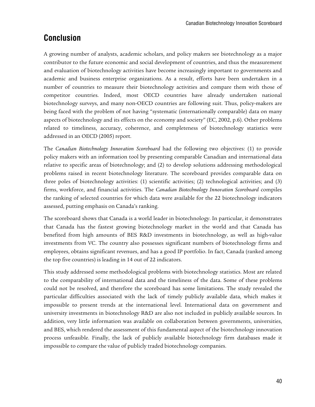# **Conclusion**

A growing number of analysts, academic scholars, and policy makers see biotechnology as a major contributor to the future economic and social development of countries, and thus the measurement and evaluation of biotechnology activities have become increasingly important to governments and academic and business enterprise organizations. As a result, efforts have been undertaken in a number of countries to measure their biotechnology activities and compare them with those of competitor countries. Indeed, most OECD countries have already undertaken national biotechnology surveys, and many non-OECD countries are following suit. Thus, policy-makers are being faced with the problem of not having "systematic (internationally comparable) data on many aspects of biotechnology and its effects on the economy and society" (EC, 2002, p.6). Other problems related to timeliness, accuracy, coherence, and completeness of biotechnology statistics were addressed in an OECD (2005) report.

The *Canadian Biotechnology Innovation Scoreboard* had the following two objectives: (1) to provide policy makers with an information tool by presenting comparable Canadian and international data relative to specific areas of biotechnology; and (2) to develop solutions addressing methodological problems raised in recent biotechnology literature. The scoreboard provides comparable data on three poles of biotechnology activities: (1) scientific activities; (2) technological activities; and (3) firms, workforce, and financial activities. The *Canadian Biotechnology Innovation Scoreboard* compiles the ranking of selected countries for which data were available for the 22 biotechnology indicators assessed, putting emphasis on Canada's ranking.

The scoreboard shows that Canada is a world leader in biotechnology. In particular, it demonstrates that Canada has the fastest growing biotechnology market in the world and that Canada has benefited from high amounts of BES R&D investments in biotechnology, as well as high-value investments from VC. The country also possesses significant numbers of biotechnology firms and employees, obtains significant revenues, and has a good IP portfolio. In fact, Canada (ranked among the top five countries) is leading in 14 out of 22 indicators.

This study addressed some methodological problems with biotechnology statistics. Most are related to the comparability of international data and the timeliness of the data. Some of these problems could not be resolved, and therefore the scoreboard has some limitations. The study revealed the particular difficulties associated with the lack of timely publicly available data, which makes it impossible to present trends at the international level. International data on government and university investments in biotechnology R&D are also not included in publicly available sources. In addition, very little information was available on collaboration between governments, universities, and BES, which rendered the assessment of this fundamental aspect of the biotechnology innovation process unfeasible. Finally, the lack of publicly available biotechnology firm databases made it impossible to compare the value of publicly traded biotechnology companies.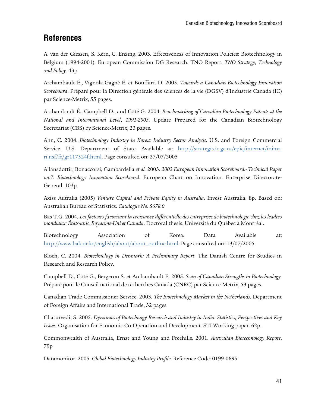# **References**

A. van der Giessen, S. Kern, C. Enzing. 2003. Effectiveness of Innovation Policies: Biotechnology in Belgium (1994-2001). European Commission DG Research. TNO Report. *TNO Strategy, Technology and Policy*. 43p.

Archambault É., Vignola-Gagné É. et Bouffard D. 2005. *Towards a Canadian Biotechnology Innovation Scoreboard*. Préparé pour la Direction générale des sciences de la vie (DGSV) d'Industrie Canada (IC) par Science-Metrix, 55 pages.

Archambault É., Campbell D., and Côté G. 2004. *Benchmarking of Canadian Biotechnology Patents at the National and International Level*, *1991-2003*. Update Prepared for the Canadian Biotechnology Secretariat (CBS) by Science-Metrix, 23 pages.

Ahn, C. 2004. *Biotechnology Industry in Korea: Industry Sector Analysis*. U.S. and Foreign Commercial Service. U.S. Department of State. Available at: http://strategis.ic.gc.ca/epic/internet/inimrri.nsf/fr/gr117524f.html. Page consulted on: 27/07/2005

Allansdottir, Bonaccorsi, Gambardella *et al.* 2003. *2002 European Innovation Scoreboard.- Technical Paper no.7*: *Biotechnology Innovation Scoreboard*. European Chart on Innovation. Enterprise Directorate-General. 103p.

Axiss Autralia (2005) *Venture Capital and Private Equity in Australia*. Invest Australia. 8p. Based on: Australian Bureau of Statistics. *Catalogue No. 5678.0* 

Bas T.G. 2004. *Les facteurs favorisant la croissance différentielle des entreprises de biotechnologie chez les leaders mondiaux: États-unis, Royaume-Uni et Canada*. Doctoral thesis, Université du Québec à Montréal.

Biotechnology Association of Korea. Data Available at: http://www.bak.or.kr/english/about/about\_outline.html. Page consulted on: 13/07/2005.

Bloch, C. 2004. *Biotechnology in Denmark: A Preliminary Report*. The Danish Centre for Studies in Research and Research Policy.

Campbell D., Côté G., Bergeron S. et Archambault E. 2005. *Scan of Canadian Strengths in Biotechnology.* Préparé pour le Conseil national de recherches Canada (CNRC) par Science-Metrix, 53 pages.

Canadian Trade Commissioner Service. 2003. *The Biotechnology Market in the Netherlands*. Department of Foreign Affairs and International Trade, 32 pages.

Chaturvedi, S. 2005. *Dynamics of Biotechnogy Research and Industry in India: Statistics, Perspectives and Key Issues*. Organisation for Economic Co-Operation and Development. STI Working paper. 62p.

Commonwealth of Australia, Ernst and Young and Freehills. 2001. *Australian Biotechnology Report*. 79p

Datamonitor. 2005. *Global Biotechnology Industry Profile*. Reference Code: 0199-0695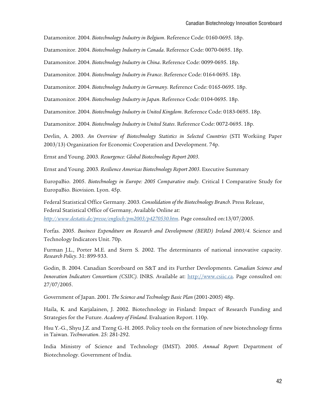Datamonitor. 2004. *Biotechnology Industry in Belgium*. Reference Code: 0160-0695. 18p.

Datamonitor. 2004. *Biotechnology Industry in Canada*. Reference Code: 0070-0695. 18p.

Datamonitor. 2004. *Biotechnology Industry in China*. Reference Code: 0099-0695. 18p.

Datamonitor. 2004. *Biotechnology Industry in France*. Reference Code: 0164-0695. 18p.

Datamonitor. 2004. *Biotechnology Industry in Germany*. Reference Code: 0165-0695. 18p.

Datamonitor. 2004. *Biotechnology Industry in Japan*. Reference Code: 0104-0695. 18p.

Datamonitor. 2004. *Biotechnology Industry in United Kingdom*. Reference Code: 0183-0695. 18p.

Datamonitor. 2004. *Biotechnology Industry in United States*. Reference Code: 0072-0695. 18p.

Devlin, A. 2003. *An Overview of Biotechnology Statistics in Selected Countries* (STI Workiing Paper 2003/13) Organization for Economic Cooperation and Development. 74p.

Ernst and Young. 2003. *Resurgence: Global Biotechnology Report 2003*.

Ernst and Young. 2003. *Resilience Americas Biotechnology Report 2003*. Executive Summary

EuropaBio. 2005. *Biotechnology in Europe: 2005 Comparative study*. Critical I Comparative Study for EuropaBio. Biovision. Lyon. 45p.

Federal Statistical Office Germany. 2003. *Consolidation of the Biotechnology Branch*. Press Release, Federal Statistical Office of Germany, Available Online at:

*http://www.destatis.de/presse/englisch/pm2003/p4270530.htm*. Page consulted on:13/07/2005.

Forfas. 2005. *Business Expenditure on Research and Development (BERD) Ireland 2003/4*. Science and Technology Indicators Unit. 70p.

Furman J.L., Porter M.E. and Stern S. 2002. The determinants of national innovative capacity. *Research Policy*. 31: 899-933.

Godin, B. 2004. Canadian Scoreboard on S&T and its Further Developments. *Canadian Science and Innovation Indicators Consortium (CSIIC).* INRS. Available at: http://www.csiic.ca. Page consulted on: 27/07/2005.

Government of Japan. 2001. *The Science and Technology Basic Plan* (2001-2005) 48p.

Haila, K. and Karjalainen, J. 2002. Biotechnology in Finland: Impact of Research Funding and Strategies for the Future. *Academy of Finland*. Evaluation Report. 110p.

Hsu Y.-G., Shyu J.Z. and Tzeng G.-H. 2005. Policy tools on the formation of new biotechnology firms in Taiwan. *Technovation*. 25: 281-292.

India Ministry of Science and Technology (IMST). 2005. *Annual Report*: Department of Biotechnology. Government of India.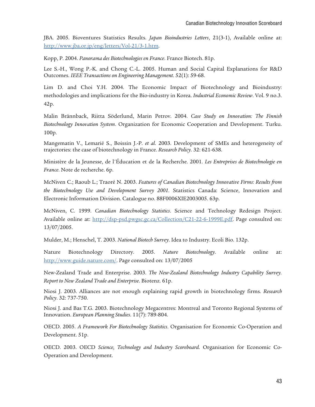JBA. 2005. Bioventures Statistics Results. *Japan Bioindustries Letters*, 21(3-1), Available online at: http://www.jba.or.jp/eng/letters/Vol-21/3-1.htm.

Kopp, P. 2004. *Panorama des Biotechnologies en France*. France Biotech. 81p.

Lee S.-H., Wong P.-K. and Chong C.-L. 2005. Human and Social Capital Explanations for R&D Outcomes. *IEEE Transactions on Engineering Management*. 52(1): 59-68.

Lim D. and Choi Y.H. 2004. The Economic Impact of Biotechnology and Bioindustry: methodologies and implications for the Bio-industry in Korea. *Industrial Economic Review*. Vol. 9 no.3. 42p.

Malin Brännback, Riitta Söderlund, Marin Petrov. 2004. *Case Study on Innovation: The Finnish Biotechnology Innovation System*. Organization for Economic Cooperation and Development. Turku. 100p.

Mangematin V., Lemarié S., Boissin J.-P. *et al*. 2003. Development of SMEs and heterogeneity of trajectories: the case of biotechnology in France. *Research Policy*. 32: 621-638.

Ministère de la Jeunesse, de l'Éducation et de la Recherche. 2001. *Les Entreprises de Biotechnologie en France*. Note de recherche. 6p.

McNiven C.; Raoub L.; Traoré N. 2003. *Features of Canadian Biotechnology Innovative Firms: Results from the Biotechnology Use and Development Survey 2001*. Statistics Canada: Science, Innovation and Electronic Information Division. Catalogue no. 88F0006XIE2003005. 63p.

McNiven, C. 1999. *Canadian Biotechnology Statistics*. Science and Technology Redesign Project. Available online at: http://dsp-psd.pwgsc.gc.ca/Collection/C21-22-6-1999E.pdf. Page consulted on: 13/07/2005.

Mulder, M.; Henschel, T. 2003. *National Biotech Survey*. Idea to Industry. Ecoli Bio. 132p.

Nature Biotechnology Directory. 2005. *Nature Biotechnology*. Available online at: http://www.guide.nature.com/. Page consulted on: 13/07/2005

New-Zealand Trade and Enterprise. 2003. *The New-Zealand Biotechnology Industry Capability Survey. Report to New Zealand Trade and Enterprise*. Biotenz. 61p.

Niosi J. 2003. Alliances are not enough explaining rapid growth in biotechnology firms. *Research Policy*. 32: 737-750.

Niosi J. and Bas T.G. 2003. Biotechnology Megacentres: Montreal and Toronto Regional Systems of Innovation. *European Planning Studies*. 11(7): 789-804.

OECD. 2005. *A Framework For Biotechnology Statistics*. Organisation for Economic Co-Operation and Development. 51p.

OECD. 2003. OECD *Science, Technology and Industry Scoreboard*. Organisation for Economic Co-Operation and Development.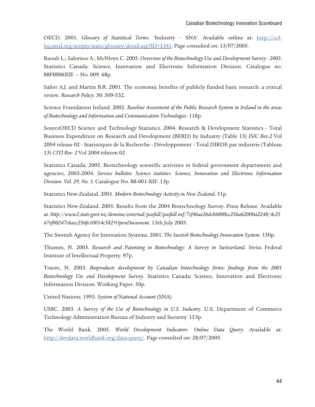OECD. 2001. *Glossary of Statistical Terms*. 'Industry – SNA'. Available online at: http://cs3 hq.oecd.org/scripts/stats/glossary/detail.asp?ID=1341. Page consulted on: 13/07/2005.

Raoub L.; Salonius A.; McNiven C. 2005. *Overview of the Biotechnology Use and Development Survey - 2003*. Statistics Canada: Science, Innovation and Electronic Information Division. Catalogue no. 88F0006XIE — No. 009. 68p.

Salter A.J. and Martin B.R. 2001. The economic benefits of publicly funded basic research: a critical review. *Research Policy*. 30: 509-532.

Science Foundation Ireland. 2002. *Baseline Assessment of the Public Research System in Ireland in the areas of Biotechnology and Information and Communication Technologies*. 118p.

SourceOECD Science and Technology Statistics. 2004. Research & Development Statistics - Total Business Expenditure on Research and Development (BERD) by Industry (Table 13) *ISIC Rev.2* Vol 2004 release 02 - Statistiques de la Recherche - Développement - Total DIRDE par industrie (Tableau 13) *CITI Rev. 2* Vol 2004 édition 02

Statistics Canada. 2005. Biotechnology scientific activities in federal government departments and agencies, 2003-2004. *Service bulletin: Science statistics. Science, Innovation and Electronic Information Division*. *Vol. 29, No. 3*. Catalogue No. 88-001-XIF. 13p.

Statistics New-Zealand. 2001. *Modern Biotechnology Activity in New Zealand*. 51p.

Statistics New-Zealand. 2005. Results from the 2004 Biotechnology Survey. Press Release. Available at :*http://www2.stats.govt.nz/domino/external/pasfull/pasfull.nsf/7cf46ae26dcb6800cc256a62000a2248/4c25 67ef00247c6acc256fe10014c582?OpenDocument*. 13th July 2005.

The Swetish Agency for Innovation Systems. 2001. *The Swetish Biotechnology Innovation System*. 150p.

Thumm, N. 2003. *Research and Patenting in Biotechnology: A Survey in Switzerland*. Swiss Federal Institute of Intellectual Property. 97p.

Traore, N. 2003. *Bioproducts development by Canadian biotechnology firms: findings from the 2001 Biotechnology Use and Development Survey*. Statistics Canada: Science, Innovation and Electronic Information Division. Working Paper. 50p.

United Nations. 1993. *System of National Account* (SNA)

US\$C. 2003. *A Survey of the Use of Biotechnology in U.S. Industry*. U.S. Department of Commerce Technology Administration Bureau of Industry and Security. 153p.

The World Bank. 2005. *World Development Indicators*. *Online Data Query*. Available at: http://devdata.worldbank.org/data-query/. Page consulted on: 28/07/2005.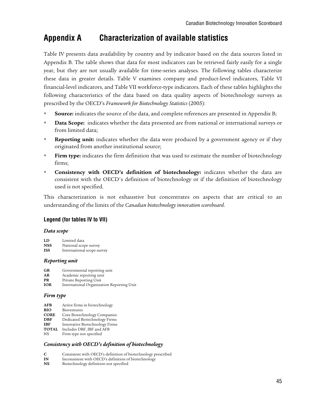# **Appendix A Characterization of available statistics**

Table IV presents data availability by country and by indicator based on the data sources listed in Appendix B. The table shows that data for most indicators can be retrieved fairly easily for a single year, but they are not usually available for time-series analyses. The following tables characterize these data in greater details. Table V examines company and product-level indicators, Table VI financial-level indicators, and Table VII workforce-type indicators. Each of these tables highlights the following characteristics of the data based on data quality aspects of biotechnology surveys as prescribed by the OECD's *Framework for Biotechnology Statistics* (2005):

- **Source:** indicates the source of the data, and complete references are presented in Appendix B;
- **Data Scope:** indicates whether the data presented are from national or international surveys or from limited data;
- **Reporting unit:** indicates whether the data were produced by a government agency or if they originated from another institutional source;
- **Firm type:** indicates the firm definition that was used to estimate the number of biotechnology firms;
- **Consistency with OECD's definition of biotechnology:** indicates whether the data are consistent with the OECD's definition of biotechnology or if the definition of biotechnology used is not specified.

This characterization is not exhaustive but concentrates on aspects that are critical to an understanding of the limits of the *Canadian biotechnology innovation scoreboard*.

#### **Legend (for tables IV to VII)**

#### *Data scope*

- **NSS** National scope survey
- **ISS** International scope survey

#### *Reporting unit*

- **GR** Governmental reporting unit
- **AR** Academic reporting unit<br>**PR** Private Reporting Unit
- **PR** Private Reporting Unit<br>**IOR** International Organiza International Organization Reporting Unit

#### *Firm type*

- **AFB** Active firms in biotechnology
- **BIO** Bioventures
- **CORE** Core Biotechnology Companies
- **DBF** Dedicated Biotechnology Firms<br>**IBF** Innovative Biotechnology Firms
- **Innovative Biotechnology Firms TOTAL** Includes DBF, IBF and AFB
- NS Firm type not specified

#### *Consistency with OECD's definition of biotechnology*

- **C** Consistent with OECD's definition of biotechnology prescribed
- **IN** Inconsistent with OECD's definition of biotechnology<br>**NS** Biotechnology definition not specified
- Biotechnology definition not specified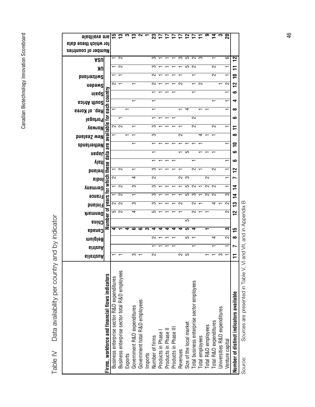Canadian Biotechnology Innovation Scoreboard Canadian Biotechnology Innovation Scoreboard

> Data availability per country and by indicator Table IV Data availability per country and by indicator Table IV

| are availbale                               |                                                 |                                             |                                                |         |                             | 2 ~ - 2 <del>L</del>           |         |                 |                   |                                               | ⋍        | $\mathbf{r}$             |                                            |   | တ                                      |                        |                               |                 |                                         |
|---------------------------------------------|-------------------------------------------------|---------------------------------------------|------------------------------------------------|---------|-----------------------------|--------------------------------|---------|-----------------|-------------------|-----------------------------------------------|----------|--------------------------|--------------------------------------------|---|----------------------------------------|------------------------|-------------------------------|-----------------|-----------------------------------------|
| for which these data<br>Number of countries |                                                 |                                             |                                                |         |                             |                                |         |                 |                   |                                               |          |                          |                                            |   |                                        |                        |                               |                 |                                         |
|                                             |                                                 |                                             | $\sim$                                         |         |                             |                                |         | က               |                   |                                               | က        | S                        | $\sim$                                     | က |                                        |                        |                               | ဖ               | ິ                                       |
| ASU                                         |                                                 |                                             | $\sim$                                         |         |                             |                                |         | က               |                   |                                               |          | 5                        | $\sim$                                     |   |                                        | $\sim$                 |                               |                 |                                         |
| ΠK                                          |                                                 |                                             |                                                |         |                             |                                |         | N               |                   |                                               |          |                          |                                            |   |                                        | $\sim$                 |                               |                 | F<br>0                                  |
| <b>Switzerland</b>                          |                                                 | ∾                                           |                                                |         |                             |                                |         | N               |                   |                                               | ∾        |                          |                                            | N |                                        |                        |                               | N               | 12                                      |
| qabaw<br>ninq2                              |                                                 |                                             |                                                |         |                             |                                |         |                 |                   |                                               |          |                          |                                            |   |                                        |                        |                               |                 | ڡ                                       |
| <b>South Africa</b>                         | each country                                    |                                             |                                                |         |                             |                                |         |                 |                   |                                               |          |                          |                                            |   |                                        |                        |                               |                 | ෑ                                       |
| Rep. of Korea                               |                                                 |                                             |                                                |         |                             |                                |         |                 |                   |                                               |          | 4                        |                                            |   |                                        |                        |                               |                 | ထ                                       |
| Portugal                                    | 흑                                               |                                             |                                                |         |                             |                                |         |                 |                   |                                               |          |                          | 2                                          |   |                                        |                        |                               |                 | ڡ                                       |
| Norway                                      |                                                 |                                             | מ מ                                            |         |                             |                                |         | က               |                   |                                               |          |                          | 2                                          |   |                                        | N                      |                               |                 |                                         |
| <b>hew Zealand</b>                          | available                                       |                                             |                                                |         |                             |                                |         | က               |                   |                                               | $\sim$   |                          |                                            | 4 |                                        |                        |                               |                 | ∞                                       |
| Netherlands                                 | are                                             |                                             |                                                |         |                             |                                |         |                 |                   |                                               |          |                          |                                            |   |                                        |                        |                               |                 | 0                                       |
| ueder                                       | data                                            |                                             |                                                |         |                             |                                |         |                 |                   |                                               |          | ပ                        |                                            |   |                                        |                        |                               |                 | ڡ                                       |
| vistl                                       |                                                 |                                             |                                                |         |                             |                                |         |                 |                   |                                               |          |                          |                                            |   |                                        |                        |                               |                 | ڡ                                       |
| reland                                      | these                                           |                                             | N                                              |         |                             |                                |         | ຕ               |                   |                                               |          |                          | $\sim$                                     |   |                                        | $\sim$                 |                               |                 | ິ                                       |
| eibnl                                       | which                                           | 2                                           |                                                |         | 4                           |                                |         | $\sim$          |                   |                                               | 2        | က                        |                                            |   | 2                                      |                        |                               |                 | r                                       |
| упытэд                                      |                                                 |                                             | $\sim$                                         |         | က                           |                                |         | က               |                   |                                               |          | ပ                        | $\sim$                                     |   | $\sim$                                 | $\sim$                 |                               |                 | 74                                      |
| <b>France</b>                               | vears for                                       |                                             | $\sim$                                         |         |                             |                                |         | ო               |                   |                                               |          | က                        | ∞                                          |   | $\sim$                                 | $\sim$                 |                               | က               | 14                                      |
| <b>bnslni</b>                               |                                                 |                                             | מ מ                                            |         | က                           |                                |         | က               |                   |                                               | N        |                          | N                                          |   |                                        | 4                      |                               | $\sim$          | ဥ                                       |
| Denmark                                     | Number of                                       |                                             | 5<br>2                                         |         | 4                           |                                |         | 5               |                   |                                               |          |                          | $\sim$                                     |   |                                        |                        |                               | $\sim$          | 2                                       |
| China                                       |                                                 |                                             |                                                |         |                             |                                |         |                 |                   |                                               |          | 5                        |                                            |   |                                        |                        |                               |                 |                                         |
| canada                                      |                                                 |                                             |                                                |         |                             |                                |         |                 |                   |                                               |          | ю                        |                                            |   |                                        |                        |                               | m               | 15                                      |
| Belgium                                     |                                                 |                                             |                                                |         |                             |                                |         | N               |                   |                                               |          | 5                        |                                            |   |                                        | 4                      |                               | 2               | ∞                                       |
| <b>GiitzuA</b>                              |                                                 |                                             |                                                |         |                             |                                |         |                 |                   |                                               |          |                          |                                            |   |                                        |                        |                               |                 | r                                       |
| <b>GilstteuA</b>                            |                                                 |                                             |                                                |         | က                           |                                |         | 2               |                   |                                               | 25<br>25 |                          |                                            |   |                                        |                        | ო                             |                 | ۳                                       |
|                                             | Firms, workforce and financial flows indicators | Business enterprise sector R&D expenditures | Business enterprise sector total R&D employees |         | Government R&D expenditures | Government total R&D employees |         |                 | Products in Phase | Products in Phase II<br>Products in Phase III |          | Size of the local market | Total business enterprise sector employees |   | Total employees<br>Total R&D employees | Total R&D expenditures | Universities R&D expenditures |                 | Number of distinct indicators available |
|                                             |                                                 |                                             |                                                | Exports |                             |                                | Imports | Number of firms |                   |                                               | Revenues |                          |                                            |   |                                        |                        |                               | Venture capital |                                         |

Sources are presented in Table V, VI and VII, and in Appendix B Source: Sources are presented in Table V, VI and VII, and in Appendix B Source:

46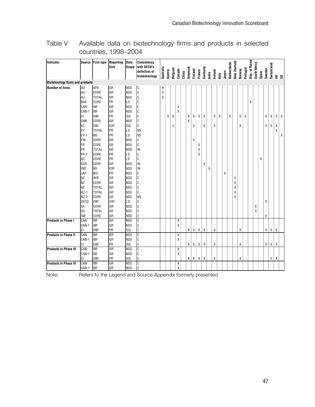Table V Available data on biotechnology firms and products in selected countries, 1998–2004

| <b>Biotehnology firms and products</b><br>GR<br><b>NSS</b><br>$\mathtt{C}$<br>AU<br>AFB<br>Χ<br>C<br>AU<br>CORE<br>GR<br><b>NSS</b><br>X<br>Iс<br>AU<br><b>TOTAL</b><br>GR<br><b>NSS</b><br>X<br>C<br><b>BAK</b><br>PR<br>CORE<br>LD<br>$\mathtt C$<br>CAN<br><b>IBF</b><br>GR<br><b>NSS</b><br>C<br><b>IBF</b><br><b>NSS</b><br>CAN-1<br>GR<br><b>DBF</b><br>$\mathtt C$<br>CI<br>PR<br><b>ISS</b><br>XX<br>Χ<br>X<br>χ.<br>C<br>CORE<br><b>DNK</b><br>GR<br><b>NSS</b><br>Χ<br>C<br>EC<br><b>DBF</b><br><b>IOR</b><br><b>ISS</b><br>x:<br>$X$ .<br>Х.<br>Х,<br>χ<br>Χ<br>Χ<br>EY<br>PR<br><b>TOTAL</b><br>LD<br><b>NS</b><br>X<br>$EY-1$<br>PR<br>LD<br><b>NS</b><br><b>NS</b><br>Χ<br><b>NSS</b><br>FIN<br>CORE<br>GR<br>Iс<br>χ<br><b>I</b> FR<br>CORE<br>GR<br>C<br><b>NSS</b><br>IN<br><b>FR</b><br><b>TOTAL</b><br>GR<br><b>NSS</b><br>$\mathtt{C}$<br>FR-2<br>PR<br>CORE<br>LD<br>C<br>GE<br>CORE<br>PR<br>LD<br>IN<br><b>NSS</b><br>GER<br>CORE<br>GR<br>IN<br><b>IND</b><br><b>NS</b><br><b>IOR</b><br><b>NSS</b><br><b>PR</b><br><b>JAP</b><br><b>NSS</b><br>C<br>B <sub>IO</sub><br>C<br><b>NZ</b><br>AFB<br>GR<br><b>NSS</b><br>$\mathtt{C}$<br><b>NZ</b><br><b>NSS</b><br>CORE<br>GR<br>$\mathtt{C}$<br><b>NZ</b><br><b>TOTAL</b><br><b>NSS</b><br>GR<br>C<br>$NZ-1$<br><b>TOTAL</b><br>GR<br><b>NSS</b><br><b>NS</b><br>$NZ-2$<br>CORE<br>GR<br><b>NSS</b><br><b>OECD</b><br><b>IOR</b><br>LD<br>C<br><b>DBF</b><br>GR<br>C<br>CORE<br><b>NSS</b><br>SA<br>C<br>SA<br><b>TOTAL</b><br>GR<br><b>NSS</b><br>C<br>SW<br>CORE<br>GR<br><b>NSS</b><br>Χ<br>CAN<br><b>IBF</b><br>GR<br><b>NSS</b><br>$\mathtt C$<br><b>Products in Phase I</b><br>χ.<br>C<br><b>IBF</b><br>CAN-1<br>GR<br><b>NSS</b><br>x<br>$X$ $X$ $X$<br>C<br>$\mathsf{X} \quad \mathsf{X} \quad \mathsf{X} \quad \mathsf{X} \quad \mathsf{X} \, .$<br>PR<br><b>ISS</b><br>$X$ .<br>CI<br><b>DBF</b><br>X<br><b>IBF</b><br><b>NSS</b><br>C<br>CAN<br>GR<br><b>Products in Phase II</b><br>Χ.<br>$\mathbb C$<br><b>IBF</b><br>CAN-1<br>GR<br><b>NSS</b><br>C<br><b>DBF</b><br>PR<br><b>ISS</b><br>$X$ $X$ $X$<br><b>CI</b><br>X X X X<br>χ.<br>Χ<br><b>IBF</b><br>CAN<br><b>NSS</b><br>C<br><b>Products in Phase III</b><br>GR<br>Χ,<br><b>IBF</b><br>$\mathtt C$<br>X.<br>CAN-1<br>GR<br><b>NSS</b><br>PR<br>C<br>CI<br><b>DBF</b><br><b>ISS</b><br>X X X X<br>$X$ $X$<br>X<br>Χ<br><b>IBF</b><br>C<br>CAN<br>GR<br><b>NSS</b><br><b>Products in Phase IV</b><br>Χ.<br>$\mathbf{X}$ | Indicator              | <b>Source</b> | Firm type  | Reporting<br><b>Unit</b> | <b>Data</b><br><b>Scope</b> | <b>Consistency</b><br>with OECD's<br>definition of<br>biotechnology | Australia | <b>Austria</b> | Belgium | Canada | China | Denmark | Finland | France | Germany | India | Ireland | taly | Japan | Netherlands | New Zealand | Norway | Portugal | Rep. of Korea | South Africa | Spain | Sweden | Switzerland | $\leq$ $\leq$ |  |
|-----------------------------------------------------------------------------------------------------------------------------------------------------------------------------------------------------------------------------------------------------------------------------------------------------------------------------------------------------------------------------------------------------------------------------------------------------------------------------------------------------------------------------------------------------------------------------------------------------------------------------------------------------------------------------------------------------------------------------------------------------------------------------------------------------------------------------------------------------------------------------------------------------------------------------------------------------------------------------------------------------------------------------------------------------------------------------------------------------------------------------------------------------------------------------------------------------------------------------------------------------------------------------------------------------------------------------------------------------------------------------------------------------------------------------------------------------------------------------------------------------------------------------------------------------------------------------------------------------------------------------------------------------------------------------------------------------------------------------------------------------------------------------------------------------------------------------------------------------------------------------------------------------------------------------------------------------------------------------------------------------------------------------------------------------------------------------------------------------------------------------------------------------------------------------------------------------------------------------------------------------------------------------------------------------------------------------------------------------------------------------------------------------------------------------------------------------------------|------------------------|---------------|------------|--------------------------|-----------------------------|---------------------------------------------------------------------|-----------|----------------|---------|--------|-------|---------|---------|--------|---------|-------|---------|------|-------|-------------|-------------|--------|----------|---------------|--------------|-------|--------|-------------|---------------|--|
|                                                                                                                                                                                                                                                                                                                                                                                                                                                                                                                                                                                                                                                                                                                                                                                                                                                                                                                                                                                                                                                                                                                                                                                                                                                                                                                                                                                                                                                                                                                                                                                                                                                                                                                                                                                                                                                                                                                                                                                                                                                                                                                                                                                                                                                                                                                                                                                                                                                                 |                        |               |            |                          |                             |                                                                     |           |                |         |        |       |         |         |        |         |       |         |      |       |             |             |        |          |               |              |       |        |             |               |  |
|                                                                                                                                                                                                                                                                                                                                                                                                                                                                                                                                                                                                                                                                                                                                                                                                                                                                                                                                                                                                                                                                                                                                                                                                                                                                                                                                                                                                                                                                                                                                                                                                                                                                                                                                                                                                                                                                                                                                                                                                                                                                                                                                                                                                                                                                                                                                                                                                                                                                 | <b>Number of firms</b> |               |            |                          |                             |                                                                     |           |                |         |        |       |         |         |        |         |       |         |      |       |             |             |        |          |               |              |       |        |             |               |  |
|                                                                                                                                                                                                                                                                                                                                                                                                                                                                                                                                                                                                                                                                                                                                                                                                                                                                                                                                                                                                                                                                                                                                                                                                                                                                                                                                                                                                                                                                                                                                                                                                                                                                                                                                                                                                                                                                                                                                                                                                                                                                                                                                                                                                                                                                                                                                                                                                                                                                 |                        |               |            |                          |                             |                                                                     |           |                |         |        |       |         |         |        |         |       |         |      |       |             |             |        |          |               |              |       |        |             |               |  |
|                                                                                                                                                                                                                                                                                                                                                                                                                                                                                                                                                                                                                                                                                                                                                                                                                                                                                                                                                                                                                                                                                                                                                                                                                                                                                                                                                                                                                                                                                                                                                                                                                                                                                                                                                                                                                                                                                                                                                                                                                                                                                                                                                                                                                                                                                                                                                                                                                                                                 |                        |               |            |                          |                             |                                                                     |           |                |         |        |       |         |         |        |         |       |         |      |       |             |             |        |          |               |              |       |        |             |               |  |
|                                                                                                                                                                                                                                                                                                                                                                                                                                                                                                                                                                                                                                                                                                                                                                                                                                                                                                                                                                                                                                                                                                                                                                                                                                                                                                                                                                                                                                                                                                                                                                                                                                                                                                                                                                                                                                                                                                                                                                                                                                                                                                                                                                                                                                                                                                                                                                                                                                                                 |                        |               |            |                          |                             |                                                                     |           |                |         |        |       |         |         |        |         |       |         |      |       |             |             |        |          |               |              |       |        |             |               |  |
|                                                                                                                                                                                                                                                                                                                                                                                                                                                                                                                                                                                                                                                                                                                                                                                                                                                                                                                                                                                                                                                                                                                                                                                                                                                                                                                                                                                                                                                                                                                                                                                                                                                                                                                                                                                                                                                                                                                                                                                                                                                                                                                                                                                                                                                                                                                                                                                                                                                                 |                        |               |            |                          |                             |                                                                     |           |                |         |        |       |         |         |        |         |       |         |      |       |             |             |        |          |               |              |       |        |             |               |  |
|                                                                                                                                                                                                                                                                                                                                                                                                                                                                                                                                                                                                                                                                                                                                                                                                                                                                                                                                                                                                                                                                                                                                                                                                                                                                                                                                                                                                                                                                                                                                                                                                                                                                                                                                                                                                                                                                                                                                                                                                                                                                                                                                                                                                                                                                                                                                                                                                                                                                 |                        |               |            |                          |                             |                                                                     |           |                |         |        |       |         |         |        |         |       |         |      |       |             |             |        |          |               |              |       |        |             |               |  |
|                                                                                                                                                                                                                                                                                                                                                                                                                                                                                                                                                                                                                                                                                                                                                                                                                                                                                                                                                                                                                                                                                                                                                                                                                                                                                                                                                                                                                                                                                                                                                                                                                                                                                                                                                                                                                                                                                                                                                                                                                                                                                                                                                                                                                                                                                                                                                                                                                                                                 |                        |               |            |                          |                             |                                                                     |           |                |         |        |       |         |         |        |         |       |         |      |       |             |             |        |          |               |              |       |        |             |               |  |
|                                                                                                                                                                                                                                                                                                                                                                                                                                                                                                                                                                                                                                                                                                                                                                                                                                                                                                                                                                                                                                                                                                                                                                                                                                                                                                                                                                                                                                                                                                                                                                                                                                                                                                                                                                                                                                                                                                                                                                                                                                                                                                                                                                                                                                                                                                                                                                                                                                                                 |                        |               |            |                          |                             |                                                                     |           |                |         |        |       |         |         |        |         |       |         |      |       |             |             |        |          |               |              |       |        |             |               |  |
|                                                                                                                                                                                                                                                                                                                                                                                                                                                                                                                                                                                                                                                                                                                                                                                                                                                                                                                                                                                                                                                                                                                                                                                                                                                                                                                                                                                                                                                                                                                                                                                                                                                                                                                                                                                                                                                                                                                                                                                                                                                                                                                                                                                                                                                                                                                                                                                                                                                                 |                        |               |            |                          |                             |                                                                     |           |                |         |        |       |         |         |        |         |       |         |      |       |             |             |        |          |               |              |       |        |             |               |  |
|                                                                                                                                                                                                                                                                                                                                                                                                                                                                                                                                                                                                                                                                                                                                                                                                                                                                                                                                                                                                                                                                                                                                                                                                                                                                                                                                                                                                                                                                                                                                                                                                                                                                                                                                                                                                                                                                                                                                                                                                                                                                                                                                                                                                                                                                                                                                                                                                                                                                 |                        |               |            |                          |                             |                                                                     |           |                |         |        |       |         |         |        |         |       |         |      |       |             |             |        |          |               |              |       |        |             |               |  |
|                                                                                                                                                                                                                                                                                                                                                                                                                                                                                                                                                                                                                                                                                                                                                                                                                                                                                                                                                                                                                                                                                                                                                                                                                                                                                                                                                                                                                                                                                                                                                                                                                                                                                                                                                                                                                                                                                                                                                                                                                                                                                                                                                                                                                                                                                                                                                                                                                                                                 |                        |               |            |                          |                             |                                                                     |           |                |         |        |       |         |         |        |         |       |         |      |       |             |             |        |          |               |              |       |        |             |               |  |
|                                                                                                                                                                                                                                                                                                                                                                                                                                                                                                                                                                                                                                                                                                                                                                                                                                                                                                                                                                                                                                                                                                                                                                                                                                                                                                                                                                                                                                                                                                                                                                                                                                                                                                                                                                                                                                                                                                                                                                                                                                                                                                                                                                                                                                                                                                                                                                                                                                                                 |                        |               |            |                          |                             |                                                                     |           |                |         |        |       |         |         |        |         |       |         |      |       |             |             |        |          |               |              |       |        |             |               |  |
|                                                                                                                                                                                                                                                                                                                                                                                                                                                                                                                                                                                                                                                                                                                                                                                                                                                                                                                                                                                                                                                                                                                                                                                                                                                                                                                                                                                                                                                                                                                                                                                                                                                                                                                                                                                                                                                                                                                                                                                                                                                                                                                                                                                                                                                                                                                                                                                                                                                                 |                        |               |            |                          |                             |                                                                     |           |                |         |        |       |         |         |        |         |       |         |      |       |             |             |        |          |               |              |       |        |             |               |  |
|                                                                                                                                                                                                                                                                                                                                                                                                                                                                                                                                                                                                                                                                                                                                                                                                                                                                                                                                                                                                                                                                                                                                                                                                                                                                                                                                                                                                                                                                                                                                                                                                                                                                                                                                                                                                                                                                                                                                                                                                                                                                                                                                                                                                                                                                                                                                                                                                                                                                 |                        |               |            |                          |                             |                                                                     |           |                |         |        |       |         |         |        |         |       |         |      |       |             |             |        |          |               |              |       |        |             |               |  |
|                                                                                                                                                                                                                                                                                                                                                                                                                                                                                                                                                                                                                                                                                                                                                                                                                                                                                                                                                                                                                                                                                                                                                                                                                                                                                                                                                                                                                                                                                                                                                                                                                                                                                                                                                                                                                                                                                                                                                                                                                                                                                                                                                                                                                                                                                                                                                                                                                                                                 |                        |               |            |                          |                             |                                                                     |           |                |         |        |       |         |         |        |         |       |         |      |       |             |             |        |          |               |              |       |        |             |               |  |
|                                                                                                                                                                                                                                                                                                                                                                                                                                                                                                                                                                                                                                                                                                                                                                                                                                                                                                                                                                                                                                                                                                                                                                                                                                                                                                                                                                                                                                                                                                                                                                                                                                                                                                                                                                                                                                                                                                                                                                                                                                                                                                                                                                                                                                                                                                                                                                                                                                                                 |                        |               |            |                          |                             |                                                                     |           |                |         |        |       |         |         |        |         |       |         |      |       |             |             |        |          |               |              |       |        |             |               |  |
|                                                                                                                                                                                                                                                                                                                                                                                                                                                                                                                                                                                                                                                                                                                                                                                                                                                                                                                                                                                                                                                                                                                                                                                                                                                                                                                                                                                                                                                                                                                                                                                                                                                                                                                                                                                                                                                                                                                                                                                                                                                                                                                                                                                                                                                                                                                                                                                                                                                                 |                        |               |            |                          |                             |                                                                     |           |                |         |        |       |         |         |        |         |       |         |      |       |             |             |        |          |               |              |       |        |             |               |  |
|                                                                                                                                                                                                                                                                                                                                                                                                                                                                                                                                                                                                                                                                                                                                                                                                                                                                                                                                                                                                                                                                                                                                                                                                                                                                                                                                                                                                                                                                                                                                                                                                                                                                                                                                                                                                                                                                                                                                                                                                                                                                                                                                                                                                                                                                                                                                                                                                                                                                 |                        |               |            |                          |                             |                                                                     |           |                |         |        |       |         |         |        |         |       |         |      |       |             |             |        |          |               |              |       |        |             |               |  |
|                                                                                                                                                                                                                                                                                                                                                                                                                                                                                                                                                                                                                                                                                                                                                                                                                                                                                                                                                                                                                                                                                                                                                                                                                                                                                                                                                                                                                                                                                                                                                                                                                                                                                                                                                                                                                                                                                                                                                                                                                                                                                                                                                                                                                                                                                                                                                                                                                                                                 |                        |               |            |                          |                             |                                                                     |           |                |         |        |       |         |         |        |         |       |         |      |       |             |             |        |          |               |              |       |        |             |               |  |
|                                                                                                                                                                                                                                                                                                                                                                                                                                                                                                                                                                                                                                                                                                                                                                                                                                                                                                                                                                                                                                                                                                                                                                                                                                                                                                                                                                                                                                                                                                                                                                                                                                                                                                                                                                                                                                                                                                                                                                                                                                                                                                                                                                                                                                                                                                                                                                                                                                                                 |                        |               |            |                          |                             |                                                                     |           |                |         |        |       |         |         |        |         |       |         |      |       |             |             |        |          |               |              |       |        |             |               |  |
|                                                                                                                                                                                                                                                                                                                                                                                                                                                                                                                                                                                                                                                                                                                                                                                                                                                                                                                                                                                                                                                                                                                                                                                                                                                                                                                                                                                                                                                                                                                                                                                                                                                                                                                                                                                                                                                                                                                                                                                                                                                                                                                                                                                                                                                                                                                                                                                                                                                                 |                        |               |            |                          |                             |                                                                     |           |                |         |        |       |         |         |        |         |       |         |      |       |             |             |        |          |               |              |       |        |             |               |  |
|                                                                                                                                                                                                                                                                                                                                                                                                                                                                                                                                                                                                                                                                                                                                                                                                                                                                                                                                                                                                                                                                                                                                                                                                                                                                                                                                                                                                                                                                                                                                                                                                                                                                                                                                                                                                                                                                                                                                                                                                                                                                                                                                                                                                                                                                                                                                                                                                                                                                 |                        |               |            |                          |                             |                                                                     |           |                |         |        |       |         |         |        |         |       |         |      |       |             |             |        |          |               |              |       |        |             |               |  |
|                                                                                                                                                                                                                                                                                                                                                                                                                                                                                                                                                                                                                                                                                                                                                                                                                                                                                                                                                                                                                                                                                                                                                                                                                                                                                                                                                                                                                                                                                                                                                                                                                                                                                                                                                                                                                                                                                                                                                                                                                                                                                                                                                                                                                                                                                                                                                                                                                                                                 |                        |               |            |                          |                             |                                                                     |           |                |         |        |       |         |         |        |         |       |         |      |       |             |             |        |          |               |              |       |        |             |               |  |
|                                                                                                                                                                                                                                                                                                                                                                                                                                                                                                                                                                                                                                                                                                                                                                                                                                                                                                                                                                                                                                                                                                                                                                                                                                                                                                                                                                                                                                                                                                                                                                                                                                                                                                                                                                                                                                                                                                                                                                                                                                                                                                                                                                                                                                                                                                                                                                                                                                                                 |                        |               |            |                          |                             |                                                                     |           |                |         |        |       |         |         |        |         |       |         |      |       |             |             |        |          |               |              |       |        |             |               |  |
|                                                                                                                                                                                                                                                                                                                                                                                                                                                                                                                                                                                                                                                                                                                                                                                                                                                                                                                                                                                                                                                                                                                                                                                                                                                                                                                                                                                                                                                                                                                                                                                                                                                                                                                                                                                                                                                                                                                                                                                                                                                                                                                                                                                                                                                                                                                                                                                                                                                                 |                        |               |            |                          |                             |                                                                     |           |                |         |        |       |         |         |        |         |       |         |      |       |             |             |        |          |               |              |       |        |             |               |  |
|                                                                                                                                                                                                                                                                                                                                                                                                                                                                                                                                                                                                                                                                                                                                                                                                                                                                                                                                                                                                                                                                                                                                                                                                                                                                                                                                                                                                                                                                                                                                                                                                                                                                                                                                                                                                                                                                                                                                                                                                                                                                                                                                                                                                                                                                                                                                                                                                                                                                 |                        |               |            |                          |                             |                                                                     |           |                |         |        |       |         |         |        |         |       |         |      |       |             |             |        |          |               |              |       |        |             |               |  |
|                                                                                                                                                                                                                                                                                                                                                                                                                                                                                                                                                                                                                                                                                                                                                                                                                                                                                                                                                                                                                                                                                                                                                                                                                                                                                                                                                                                                                                                                                                                                                                                                                                                                                                                                                                                                                                                                                                                                                                                                                                                                                                                                                                                                                                                                                                                                                                                                                                                                 |                        |               |            |                          |                             |                                                                     |           |                |         |        |       |         |         |        |         |       |         |      |       |             |             |        |          |               |              |       |        |             |               |  |
|                                                                                                                                                                                                                                                                                                                                                                                                                                                                                                                                                                                                                                                                                                                                                                                                                                                                                                                                                                                                                                                                                                                                                                                                                                                                                                                                                                                                                                                                                                                                                                                                                                                                                                                                                                                                                                                                                                                                                                                                                                                                                                                                                                                                                                                                                                                                                                                                                                                                 |                        |               |            |                          |                             |                                                                     |           |                |         |        |       |         |         |        |         |       |         |      |       |             |             |        |          |               |              |       |        |             |               |  |
|                                                                                                                                                                                                                                                                                                                                                                                                                                                                                                                                                                                                                                                                                                                                                                                                                                                                                                                                                                                                                                                                                                                                                                                                                                                                                                                                                                                                                                                                                                                                                                                                                                                                                                                                                                                                                                                                                                                                                                                                                                                                                                                                                                                                                                                                                                                                                                                                                                                                 |                        |               |            |                          |                             |                                                                     |           |                |         |        |       |         |         |        |         |       |         |      |       |             |             |        |          |               |              |       |        |             |               |  |
|                                                                                                                                                                                                                                                                                                                                                                                                                                                                                                                                                                                                                                                                                                                                                                                                                                                                                                                                                                                                                                                                                                                                                                                                                                                                                                                                                                                                                                                                                                                                                                                                                                                                                                                                                                                                                                                                                                                                                                                                                                                                                                                                                                                                                                                                                                                                                                                                                                                                 |                        |               |            |                          |                             |                                                                     |           |                |         |        |       |         |         |        |         |       |         |      |       |             |             |        |          |               |              |       |        |             |               |  |
|                                                                                                                                                                                                                                                                                                                                                                                                                                                                                                                                                                                                                                                                                                                                                                                                                                                                                                                                                                                                                                                                                                                                                                                                                                                                                                                                                                                                                                                                                                                                                                                                                                                                                                                                                                                                                                                                                                                                                                                                                                                                                                                                                                                                                                                                                                                                                                                                                                                                 |                        |               |            |                          |                             |                                                                     |           |                |         |        |       |         |         |        |         |       |         |      |       |             |             |        |          |               |              |       |        |             |               |  |
|                                                                                                                                                                                                                                                                                                                                                                                                                                                                                                                                                                                                                                                                                                                                                                                                                                                                                                                                                                                                                                                                                                                                                                                                                                                                                                                                                                                                                                                                                                                                                                                                                                                                                                                                                                                                                                                                                                                                                                                                                                                                                                                                                                                                                                                                                                                                                                                                                                                                 |                        |               |            |                          |                             |                                                                     |           |                |         |        |       |         |         |        |         |       |         |      |       |             |             |        |          |               |              |       |        |             |               |  |
|                                                                                                                                                                                                                                                                                                                                                                                                                                                                                                                                                                                                                                                                                                                                                                                                                                                                                                                                                                                                                                                                                                                                                                                                                                                                                                                                                                                                                                                                                                                                                                                                                                                                                                                                                                                                                                                                                                                                                                                                                                                                                                                                                                                                                                                                                                                                                                                                                                                                 |                        |               |            |                          |                             |                                                                     |           |                |         |        |       |         |         |        |         |       |         |      |       |             |             |        |          |               |              |       |        |             |               |  |
|                                                                                                                                                                                                                                                                                                                                                                                                                                                                                                                                                                                                                                                                                                                                                                                                                                                                                                                                                                                                                                                                                                                                                                                                                                                                                                                                                                                                                                                                                                                                                                                                                                                                                                                                                                                                                                                                                                                                                                                                                                                                                                                                                                                                                                                                                                                                                                                                                                                                 |                        |               |            |                          |                             |                                                                     |           |                |         |        |       |         |         |        |         |       |         |      |       |             |             |        |          |               |              |       |        |             |               |  |
|                                                                                                                                                                                                                                                                                                                                                                                                                                                                                                                                                                                                                                                                                                                                                                                                                                                                                                                                                                                                                                                                                                                                                                                                                                                                                                                                                                                                                                                                                                                                                                                                                                                                                                                                                                                                                                                                                                                                                                                                                                                                                                                                                                                                                                                                                                                                                                                                                                                                 |                        |               |            |                          |                             |                                                                     |           |                |         |        |       |         |         |        |         |       |         |      |       |             |             |        |          |               |              |       |        |             |               |  |
|                                                                                                                                                                                                                                                                                                                                                                                                                                                                                                                                                                                                                                                                                                                                                                                                                                                                                                                                                                                                                                                                                                                                                                                                                                                                                                                                                                                                                                                                                                                                                                                                                                                                                                                                                                                                                                                                                                                                                                                                                                                                                                                                                                                                                                                                                                                                                                                                                                                                 |                        |               |            |                          |                             |                                                                     |           |                |         |        |       |         |         |        |         |       |         |      |       |             |             |        |          |               |              |       |        |             |               |  |
|                                                                                                                                                                                                                                                                                                                                                                                                                                                                                                                                                                                                                                                                                                                                                                                                                                                                                                                                                                                                                                                                                                                                                                                                                                                                                                                                                                                                                                                                                                                                                                                                                                                                                                                                                                                                                                                                                                                                                                                                                                                                                                                                                                                                                                                                                                                                                                                                                                                                 |                        |               |            |                          |                             |                                                                     |           |                |         |        |       |         |         |        |         |       |         |      |       |             |             |        |          |               |              |       |        |             |               |  |
|                                                                                                                                                                                                                                                                                                                                                                                                                                                                                                                                                                                                                                                                                                                                                                                                                                                                                                                                                                                                                                                                                                                                                                                                                                                                                                                                                                                                                                                                                                                                                                                                                                                                                                                                                                                                                                                                                                                                                                                                                                                                                                                                                                                                                                                                                                                                                                                                                                                                 |                        | CAN-1         | <b>IBF</b> | GR                       | <b>NSS</b>                  | C                                                                   |           |                |         |        |       |         |         |        |         |       |         |      |       |             |             |        |          |               |              |       |        |             |               |  |

Note: Refers to the Legend and Source Appendix formerly presented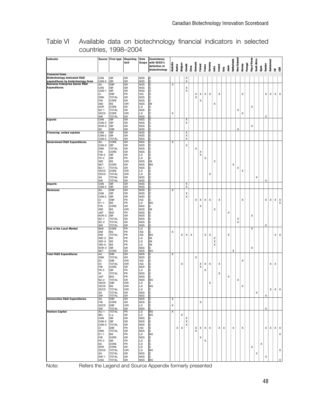| Indicator                                                             | Source               | Firm type                  | Reporting        | <b>Data</b>              | <b>Consistency</b>           |               |               |                                                                                            |        |       |                    |         |        |         |       |         |      |       |             |             |        |          |                              |                                                                                                                |                 |                    |                                        |                                 |  |
|-----------------------------------------------------------------------|----------------------|----------------------------|------------------|--------------------------|------------------------------|---------------|---------------|--------------------------------------------------------------------------------------------|--------|-------|--------------------|---------|--------|---------|-------|---------|------|-------|-------------|-------------|--------|----------|------------------------------|----------------------------------------------------------------------------------------------------------------|-----------------|--------------------|----------------------------------------|---------------------------------|--|
|                                                                       |                      |                            | Unit             | Scope                    | with OECD's<br>definition of |               |               |                                                                                            |        |       |                    |         |        |         |       |         |      |       | Netherlands | New-Zealand |        |          | Rep.of Korea<br>South Africa |                                                                                                                |                 | <b>Switzerland</b> |                                        |                                 |  |
|                                                                       |                      |                            |                  |                          | biotechnology                | Australia     | Austria       | Belgium                                                                                    | Canada | China | Denmark            | Finland | France | Germany | India | Ireland | taly | Japan |             |             | Norway | Portugal |                              |                                                                                                                | Sweden<br>Spain |                    |                                        | ≚ ខ្ទី                          |  |
| <b>Financial flows</b>                                                |                      |                            |                  |                          |                              |               |               |                                                                                            |        |       |                    |         |        |         |       |         |      |       |             |             |        |          |                              |                                                                                                                |                 |                    |                                        |                                 |  |
| <b>Biotechnology dedicated R&amp;D</b>                                | CAN                  | <b>IBF</b>                 | GR               | <b>NSS</b>               | IС                           |               |               |                                                                                            |        |       |                    |         |        |         |       |         |      |       |             |             |        |          |                              |                                                                                                                |                 |                    |                                        |                                 |  |
| expenditures by biotechnology firms<br>Business Enterprise Sector R&D | CAN-2<br>AU          | IBF<br>DBF                 | GR<br>GR         | <b>NSS</b><br><b>NSS</b> | Ċ<br>С                       | X.            |               |                                                                                            | X      |       |                    |         |        |         |       |         |      |       |             |             |        |          |                              |                                                                                                                |                 |                    |                                        |                                 |  |
| <b>Expenditures</b>                                                   | CAN                  | IBF                        | GR               | <b>NSS</b>               | С                            |               |               |                                                                                            | χ      |       |                    |         |        |         |       |         |      |       |             |             |        |          |                              |                                                                                                                |                 |                    |                                        |                                 |  |
|                                                                       | CAN-1                | <b>IBF</b>                 | GR               | <b>NSS</b>               | С                            |               |               |                                                                                            | χ      |       |                    |         |        |         |       |         |      |       |             |             |        |          |                              |                                                                                                                |                 |                    |                                        |                                 |  |
|                                                                       | СI<br><b>DNK</b>     | DBF<br><b>TOTAL</b>        | PR<br>GR         | ISS<br><b>NSS</b>        | С<br>C                       |               |               |                                                                                            |        |       |                    | х       | x      |         |       |         |      |       |             |             |        |          |                              |                                                                                                                |                 | x:                 | χ.                                     | $X \cdot X$                     |  |
|                                                                       | FIN                  | CORE                       | GR               | <b>NSS</b>               | C                            |               |               |                                                                                            |        |       |                    |         |        |         |       |         |      |       |             |             |        |          |                              |                                                                                                                |                 |                    |                                        |                                 |  |
|                                                                       | IND<br><b>KOR</b>    | <b>NS</b><br>CORE          | 10R<br>AR        | <b>NSS</b><br>LD         | IN<br>С                      |               |               |                                                                                            |        |       |                    |         |        |         |       |         |      |       |             |             |        |          |                              |                                                                                                                |                 |                    |                                        |                                 |  |
|                                                                       | $NZ-1$               | <b>TOTAL</b>               | GR               | <b>NSS</b>               | Iс                           |               |               |                                                                                            |        |       |                    |         |        |         |       |         |      |       |             |             |        |          |                              |                                                                                                                |                 |                    |                                        |                                 |  |
|                                                                       | OECD                 | CORE                       | <b>IOR</b>       | LD                       | C<br>r.                      | x             |               |                                                                                            |        |       |                    |         |        |         |       |         |      |       |             |             |        |          |                              |                                                                                                                |                 |                    |                                        |                                 |  |
| Exports                                                               | SW<br>CAN            | TOTAL<br>IBF               | GR<br>GR         | <b>NSS</b><br><b>NSS</b> | С                            |               |               |                                                                                            | Χ      |       |                    |         |        |         |       |         |      |       |             |             |        |          |                              |                                                                                                                |                 |                    |                                        |                                 |  |
|                                                                       | CAN-2                | <b>IBF</b>                 | GR               | <b>NSS</b>               | C                            |               |               |                                                                                            | χ.     |       |                    |         |        |         |       |         |      |       |             |             |        |          |                              |                                                                                                                |                 |                    |                                        |                                 |  |
|                                                                       | KOR-2<br>ΝZ          | <b>IBF</b><br>DBF          | GR<br>GR         | <b>NSS</b><br><b>NSS</b> | С                            |               |               |                                                                                            |        |       |                    |         |        |         |       |         |      |       |             |             |        |          |                              |                                                                                                                |                 |                    |                                        |                                 |  |
| <b>Financing: united capitals</b>                                     | CAN                  | <b>IBF</b>                 | GR               | <b>NSS</b>               | С                            |               |               |                                                                                            | x      |       |                    |         |        |         |       |         |      |       |             |             |        |          |                              |                                                                                                                |                 |                    |                                        |                                 |  |
|                                                                       | CAN-2                | IBF                        | GR               | <b>NSS</b>               | С                            |               |               |                                                                                            | Χ.     |       |                    |         |        |         |       |         |      |       |             |             |        |          |                              |                                                                                                                |                 |                    |                                        |                                 |  |
| <b>Government R&amp;D Expenditures</b>                                | CAN-3<br>AU          | TOTAL<br>CORE              | GR<br>GR         | <b>NSS</b><br>NSS        | С                            | χ:            |               |                                                                                            | X      |       |                    |         |        |         |       |         |      |       |             |             |        |          |                              |                                                                                                                |                 |                    |                                        |                                 |  |
|                                                                       | CAN-3                | <b>IBF</b>                 | GR               | <b>NSS</b>               | С                            |               |               |                                                                                            | χ      |       |                    |         |        |         |       |         |      |       |             |             |        |          |                              |                                                                                                                |                 |                    |                                        |                                 |  |
|                                                                       | <b>DNK</b>           | TOTAL                      | GR               | <b>NSS</b>               | С                            |               |               |                                                                                            |        |       |                    |         |        |         |       |         |      |       |             |             |        |          |                              |                                                                                                                |                 |                    |                                        |                                 |  |
|                                                                       | FIN<br>FIN-2         | CORE<br>IBF                | GR<br>AR         | <b>NSS</b><br>LD         | C<br>C                       |               |               |                                                                                            |        |       |                    | х       |        |         |       |         |      |       |             |             |        |          |                              |                                                                                                                |                 |                    |                                        |                                 |  |
|                                                                       | FR-2                 | <b>IBF</b>                 | PR               | LD                       | C                            |               |               |                                                                                            |        |       |                    |         |        |         |       |         |      |       |             |             |        |          |                              |                                                                                                                |                 |                    |                                        |                                 |  |
|                                                                       | IND                  | ΝS                         | <b>IOR</b>       | <b>NSS</b>               | IN                           |               |               |                                                                                            |        |       |                    |         |        |         |       |         |      |       |             |             |        |          |                              |                                                                                                                |                 |                    |                                        |                                 |  |
|                                                                       | NET<br>NZ-1          | CORE<br>TOTAL              | GR<br>GR         | <b>NSS</b><br><b>NSS</b> | <b>NS</b><br>С               |               |               |                                                                                            |        |       |                    |         |        |         |       |         |      |       |             |             |        |          |                              |                                                                                                                |                 |                    |                                        |                                 |  |
|                                                                       | OECD                 | CORE                       | <b>IOR</b>       | LD                       | С                            |               |               |                                                                                            |        |       |                    |         |        |         |       |         |      |       |             |             |        |          |                              |                                                                                                                |                 |                    |                                        |                                 |  |
|                                                                       | OECD                 | <b>TOTAL</b>               | <b>IOR</b>       | LD                       | С                            |               |               |                                                                                            |        |       |                    |         |        | x       |       |         |      |       |             |             |        |          |                              |                                                                                                                |                 |                    |                                        |                                 |  |
|                                                                       | SA<br>SW             | <b>TOTAL</b><br>TOTAL      | GR<br>GR         | <b>NSS</b><br><b>NSS</b> | С                            |               |               |                                                                                            |        |       |                    |         |        |         |       |         |      |       |             |             |        |          |                              |                                                                                                                | x               |                    |                                        |                                 |  |
| <b>Imports</b>                                                        | CAN                  | IBF                        | GR               | <b>NSS</b>               | С                            |               |               |                                                                                            | х      |       |                    |         |        |         |       |         |      |       |             |             |        |          |                              |                                                                                                                |                 |                    |                                        |                                 |  |
|                                                                       | CAN-2                | <b>IBF</b>                 | GR               | <b>NSS</b>               | C                            |               |               |                                                                                            | X      |       |                    |         |        |         |       |         |      |       |             |             |        |          |                              |                                                                                                                |                 |                    |                                        |                                 |  |
| <b>Revenues</b>                                                       | AU<br>CAN            | DBF<br><b>IBF</b>          | GR<br>GR         | <b>NSS</b><br><b>NSS</b> | С<br>C                       | χ:            |               |                                                                                            | х.     |       |                    |         |        |         |       |         |      |       |             |             |        |          |                              |                                                                                                                |                 |                    |                                        |                                 |  |
|                                                                       | CAN-2                | <b>IBF</b>                 | GR               | <b>NSS</b>               | C                            |               |               |                                                                                            | x      |       |                    |         |        |         |       |         |      |       |             |             |        |          |                              |                                                                                                                |                 |                    |                                        |                                 |  |
|                                                                       | СI                   | DBF                        | PR               | <b>ISS</b>               | C                            |               |               |                                                                                            |        |       |                    | x i     | х      | X       |       |         |      |       |             |             |        |          |                              |                                                                                                                |                 | х<br>x:            |                                        | $X$ $X$                         |  |
|                                                                       | $EY-1$<br>FIN        | <b>NS</b><br>CORE          | PR<br>GR         | LD<br><b>NSS</b>         | <b>NS</b><br>C               |               |               |                                                                                            |        |       |                    |         |        |         |       |         |      |       |             |             |        |          |                              |                                                                                                                |                 |                    |                                        |                                 |  |
|                                                                       | IND                  | ΝS                         | 10R              | <b>NSS</b>               | IN                           |               |               |                                                                                            |        |       |                    |         |        |         |       |         |      |       |             |             |        |          |                              |                                                                                                                |                 |                    |                                        |                                 |  |
|                                                                       | <b>JAP</b><br>KOR-2  | <b>BIO</b><br><b>IBF</b>   | PR<br>GR         | <b>NSS</b><br><b>NSS</b> | С<br>С                       |               |               |                                                                                            |        |       |                    |         |        |         |       |         |      |       |             |             |        |          |                              |                                                                                                                |                 |                    |                                        |                                 |  |
|                                                                       | $NZ-1$               | TOTAL                      | GR               | <b>NSS</b>               | С                            |               |               |                                                                                            |        |       |                    |         |        |         |       |         |      |       |             |             |        |          |                              |                                                                                                                |                 |                    |                                        |                                 |  |
|                                                                       | $NZ-2$               | <b>TOTAL</b>               | GR               | <b>NSS</b>               | С                            |               |               |                                                                                            |        |       |                    |         |        |         |       |         |      |       |             |             |        |          |                              |                                                                                                                |                 |                    |                                        |                                 |  |
| <b>Size of the Local Market</b>                                       | SW<br>BAK            | TOTAL<br>CORE              | GR<br>PR         | <b>NSS</b><br>LD         | С                            |               |               |                                                                                            |        |       |                    |         |        |         |       |         |      |       |             |             |        |          | x                            |                                                                                                                |                 |                    |                                        |                                 |  |
|                                                                       | DM                   | ΝS                         | PR               | <b>ISS</b>               | С                            | x:            |               |                                                                                            |        |       |                    |         |        |         |       |         |      |       |             |             |        |          |                              |                                                                                                                |                 |                    |                                        |                                 |  |
|                                                                       | DM                   | <b>TOTAL</b>               | PR               | <b>ISS</b>               | <b>NS</b>                    |               |               | x                                                                                          | х      | x     |                    |         | х      | Χ       |       |         |      |       |             |             |        |          |                              |                                                                                                                |                 |                    |                                        | $X$ $\cdot$ $X$                 |  |
|                                                                       | $IND-3$<br>IND-4     | <b>NS</b><br>NS            | PR<br>PR         | LD<br>LD                 | IN<br>IN                     |               |               |                                                                                            |        |       |                    |         |        |         | X     |         |      |       |             |             |        |          |                              |                                                                                                                |                 |                    |                                        |                                 |  |
|                                                                       | $IND-5$              | NS                         | PR               | LD                       | IN                           |               |               |                                                                                            |        |       |                    |         |        |         |       |         |      |       |             |             |        |          |                              |                                                                                                                |                 |                    |                                        |                                 |  |
|                                                                       | KOR-2                | IBF                        | GR               | <b>NSS</b>               | C                            |               |               |                                                                                            |        |       |                    |         |        |         |       |         |      |       |             |             |        |          |                              |                                                                                                                |                 |                    |                                        |                                 |  |
| <b>Total R&amp;D Expenditures</b>                                     | NET<br>AU            | CORE<br>DBF                | GR<br>GR         | <b>NSS</b><br><b>NSS</b> | ΝS<br>С                      | х;            |               |                                                                                            |        |       |                    |         |        |         |       |         |      |       |             |             |        |          |                              |                                                                                                                |                 |                    |                                        |                                 |  |
|                                                                       | <b>DNK</b>           | <b>TOTAL</b>               | GR               | <b>NSS</b>               | С                            |               |               |                                                                                            |        |       |                    |         |        |         |       |         |      |       |             |             |        |          |                              |                                                                                                                |                 |                    |                                        |                                 |  |
|                                                                       | EC                   | DBF                        | <b>IOR</b>       | <b>ISS</b>               | С                            |               |               |                                                                                            |        |       |                    |         |        |         |       |         |      |       |             |             |        |          |                              |                                                                                                                |                 |                    |                                        |                                 |  |
|                                                                       | EC<br>FIN            | <b>TOTAL</b><br>CORE       | <b>IOR</b><br>GR | ISS<br><b>NSS</b>        | C<br>C                       |               |               | x                                                                                          |        |       |                    | х<br>х  | х      | X       |       |         |      |       |             |             |        |          |                              |                                                                                                                |                 |                    | х.                                     | x.                              |  |
|                                                                       | $FR-2$               | IBF                        | PR               | LD                       | C                            |               |               |                                                                                            |        |       |                    |         |        |         |       |         |      |       |             |             |        |          |                              |                                                                                                                |                 |                    |                                        |                                 |  |
|                                                                       | IR                   | <b>TOTAL</b>               | PR               | <b>NSS</b>               | C                            |               |               |                                                                                            |        |       |                    |         |        |         |       |         |      |       |             |             |        |          |                              |                                                                                                                |                 |                    |                                        |                                 |  |
|                                                                       | <b>JAP</b><br>$NZ-2$ | <b>BIO</b><br><b>TOTAL</b> | PR<br>GR         | <b>NSS</b><br><b>NSS</b> | lc.<br><b>NS</b>             |               |               |                                                                                            |        |       |                    |         |        |         |       |         |      | x     |             |             |        |          |                              |                                                                                                                |                 |                    |                                        |                                 |  |
|                                                                       | OECD                 | DBF                        | <b>IOR</b>       | LD                       | Iс                           |               |               |                                                                                            |        |       |                    |         |        | х       |       |         |      |       |             |             |        |          |                              |                                                                                                                |                 |                    |                                        |                                 |  |
|                                                                       | OECD                 | ΝS                         | IOR              | LD                       |                              |               |               |                                                                                            |        |       |                    |         |        |         |       |         |      |       |             |             |        |          |                              |                                                                                                                |                 |                    |                                        |                                 |  |
|                                                                       | OECD<br>SA           | TOTAL<br>TOTAL             | <b>IOR</b><br>GR | LD                       | $\frac{c}{c}$                |               |               | ֧֚֚֚֝<br>֧֧ׅ֧֚֚֚֚֚֚֚֚֚֚֚֚֚֚֚֚֚֚֚֚֚֚֚֚֚֚֚֝֘֝֝֟֓֡֬֝֬֝<br>ׇׇׇׇׇׇׇׇׇׇׇׇׇ֧֧֧֧֧֧֧֧֧֧֧֧֧֧֧֧֛֘֩֩֕֩ |        |       |                    |         |        |         |       |         |      |       |             |             | ļ      |          |                              | $\mathbf{x}$                                                                                                   | İ               | $\frac{1}{x}$      | $\mathbf{x}^{\scriptscriptstyle \top}$ | $\mathsf{X}\parallel\mathsf{X}$ |  |
|                                                                       | SW                   | <b>TOTAL</b>               | GR               | NSS<br>NSS               | С                            |               |               |                                                                                            |        |       |                    |         |        |         |       |         |      |       |             |             |        |          |                              |                                                                                                                |                 |                    |                                        |                                 |  |
| <b>Universities R&amp;D Expenditures</b>                              | AU                   | DBF                        | GR               | <b>NSS</b>               | С                            | $\frac{x}{x}$ |               |                                                                                            |        |       |                    |         |        |         |       |         |      |       |             |             |        |          |                              |                                                                                                                |                 | $\overline{X}$     |                                        |                                 |  |
|                                                                       | <b>FIN</b><br>OECD   | CORE<br>DBF                | GR<br><b>IOR</b> | <b>NSS</b><br>LD         | C<br>C                       |               |               |                                                                                            |        |       |                    | Χ       |        |         |       |         |      |       |             |             |        |          |                              | ֪ׅ֧ׅ֧֧֚֚֚֚֚֚֚֚֚֚֚֚֘֝֘֝֘֝֓֡֘֝֬֝֬֓֡֬֝֬֝֓֬֝֓֬֝֓֬֝֓<br>֧֧֧֧֧֧֧ׅ֧֧֧֧֧֧֧֧֧֧֚֚֚֝֩֩֩֩֩֩֓֝֩֩֩֓֬֘֩֩֩<br>֧֪֧֪֪֪֪֪֪֪֖֧֩֩֩֘ | i<br>I          |                    |                                        |                                 |  |
|                                                                       | SW                   | TOTAL                      | GR               | <b>NSS</b>               | C                            |               |               |                                                                                            |        |       |                    |         |        |         |       |         |      |       |             |             |        |          |                              |                                                                                                                |                 |                    |                                        |                                 |  |
| <b>Venture Capital</b>                                                | $AU-1$               | <b>TOTAL</b>               | PR               | LD                       | ΝS<br><b>NS</b>              |               |               |                                                                                            |        |       |                    |         |        |         |       |         |      |       |             |             |        |          |                              |                                                                                                                |                 |                    |                                        |                                 |  |
|                                                                       | <b>BEL</b>           | n.a.<br>IBF                | AR<br>GR         | LD<br><b>NSS</b>         | C                            |               | $\frac{1}{x}$ | Χ                                                                                          | X      |       |                    |         |        |         |       |         |      |       |             |             |        |          |                              |                                                                                                                |                 | j                  |                                        |                                 |  |
|                                                                       | CAN<br>CAN-2         | <b>IBF</b>                 | GR               | <b>NSS</b>               | Iс                           |               |               |                                                                                            | X      |       |                    |         |        |         |       |         |      |       |             |             |        |          |                              |                                                                                                                |                 |                    |                                        |                                 |  |
|                                                                       | CAN-3<br>СI          | <b>TOTAL</b><br>DBF        | GR<br>PR         | <b>NSS</b><br><b>ISS</b> | Iс<br>C                      |               |               |                                                                                            | Χ      |       |                    |         |        |         |       |         |      |       |             |             |        |          |                              |                                                                                                                |                 |                    |                                        | $X$ $X$                         |  |
|                                                                       | <b>DNK</b>           | <b>TOTAL</b>               | GR               | <b>NSS</b>               | C                            |               |               | $\mathbf{x}_{\perp}$<br>Χ                                                                  |        |       | X.<br>$\mathbf{x}$ |         | x x x  |         |       |         | х    |       |             |             |        |          |                              |                                                                                                                |                 | X,                 | X.                                     |                                 |  |
|                                                                       | $EY-1$               | <b>NS</b>                  | PR               | LD                       | <b>NS</b>                    |               |               |                                                                                            |        |       |                    |         |        |         |       |         |      |       |             |             |        |          |                              |                                                                                                                |                 |                    |                                        | x                               |  |
|                                                                       | <b>FIN</b><br>$FR-2$ | CORE<br>IBF                | GR<br>PR         | <b>NSS</b><br>LD         | IС                           |               |               |                                                                                            |        |       |                    |         |        |         |       |         |      |       |             |             |        |          |                              |                                                                                                                |                 |                    |                                        |                                 |  |
|                                                                       | GE                   | CORE                       | PR               | LD                       | Iс                           |               |               |                                                                                            |        |       |                    |         |        |         |       |         |      |       |             |             |        |          |                              |                                                                                                                |                 |                    |                                        |                                 |  |
|                                                                       | <b>KOR</b>           | CORE                       | AR               | LD                       | c<br>c                       |               |               |                                                                                            |        |       |                    |         |        |         |       |         |      |       |             |             |        |          |                              |                                                                                                                |                 |                    |                                        |                                 |  |
|                                                                       | <b>OECD</b><br>SA    | <b>TOTAL</b><br>TOTAL      | <b>IOR</b><br>GR | LD<br><b>NSS</b>         | <b>NS</b>                    |               |               |                                                                                            |        |       |                    |         |        |         |       |         |      |       |             |             |        |          |                              |                                                                                                                |                 |                    |                                        | ΙX.                             |  |
|                                                                       | $SW-1$               | <b>TOTAL</b>               | GR               | <b>NSS</b>               | $\int_{c}^{c}$               |               |               |                                                                                            |        |       |                    |         |        |         |       |         |      |       |             |             |        |          |                              | j                                                                                                              | ļ               | $\mathsf{x}$       |                                        |                                 |  |
|                                                                       | <b>USA</b>           | <b>TOTAL</b>               | GR               | <b>NSS</b>               | <b>NS</b>                    |               |               |                                                                                            |        |       |                    |         |        |         |       |         |      |       |             |             |        |          |                              |                                                                                                                |                 |                    |                                        |                                 |  |

Table VI Available data on biotechnology financial indicators in selected countries, 1998–2004

Note: Refers the Legend and Source Appendix formerly presented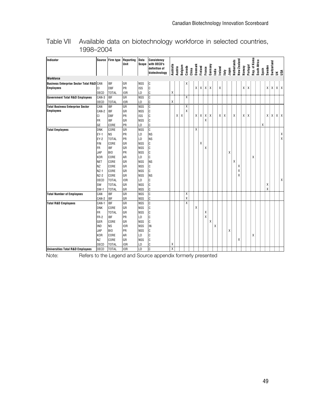| <b>Indicator</b>                                    | Source              | <b>Firm type</b>   | Reporting<br>Unit | Data<br>Scope            | <b>Consistency</b><br>with OECD's<br>definition of | Australia |         |         |             |       |         |         |        |                                                                       |       |                  |       | Netherlands | New Zealand |        |          | Korea     | South Africa |       |        | Switzerland |                                                                 |                |
|-----------------------------------------------------|---------------------|--------------------|-------------------|--------------------------|----------------------------------------------------|-----------|---------|---------|-------------|-------|---------|---------|--------|-----------------------------------------------------------------------|-------|------------------|-------|-------------|-------------|--------|----------|-----------|--------------|-------|--------|-------------|-----------------------------------------------------------------|----------------|
|                                                     |                     |                    |                   |                          | biotechnology                                      |           | Austria | Belgium | Canada      | China | Denmark | Finland | France | Germany                                                               | India | Ireland<br>ltaly | Japan |             |             | Norway | Portugal | Rep. of P |              | Spain | Sweden |             | ≚ នី                                                            |                |
| <b>Workforce</b>                                    |                     |                    |                   |                          |                                                    |           |         |         |             |       |         |         |        |                                                                       |       |                  |       |             |             |        |          |           |              |       |        |             |                                                                 |                |
| <b>Business Enterprise Sector Total R&amp;D CAN</b> |                     | <b>IBF</b>         | GR                | <b>NSS</b>               | $\mathsf c$                                        |           |         |         |             |       |         |         |        |                                                                       |       |                  |       |             |             |        |          |           |              |       |        |             |                                                                 |                |
| <b>Employees</b>                                    | CI                  | <b>DBF</b>         | <b>PR</b>         | <b>ISS</b>               | C                                                  |           |         |         |             |       |         |         |        | $\mathsf{X} \quad \mathsf{X} \quad \mathsf{X} \quad \mathsf{X} \quad$ | ī     | X .              |       |             |             | χ.     | X.       |           |              |       |        |             | $\mathsf{X} \quad \mathsf{X} \quad \mathsf{X} \quad \mathsf{X}$ |                |
|                                                     | <b>OECD</b>         | <b>TOTAL</b>       | IOR               | LD                       | С                                                  | χ.        |         |         |             |       |         |         |        |                                                                       |       |                  |       |             |             |        |          |           |              |       |        |             |                                                                 |                |
| <b>Government Total R&amp;D Employees</b>           | CAN-3               | <b>IBF</b>         | GR                | <b>NSS</b>               | C                                                  |           |         |         | Χ.          |       |         |         |        |                                                                       |       |                  |       |             |             |        |          |           |              |       |        |             |                                                                 |                |
|                                                     | <b>OECD</b>         | <b>TOTAL</b>       | IOR               | LD                       | C                                                  | χļ        |         |         |             |       |         |         |        |                                                                       |       |                  |       |             |             |        |          |           |              |       |        |             |                                                                 |                |
| <b>Total Business Enterprise Sector</b>             | CAN                 | <b>IBF</b>         | GR                | <b>NSS</b>               | C                                                  |           |         |         | χ:          |       |         |         |        |                                                                       |       |                  |       |             |             |        |          |           |              |       |        |             |                                                                 |                |
| <b>Employees</b>                                    | CAN-2               | <b>IBF</b>         | GR                | <b>NSS</b>               | C                                                  |           |         |         | X           |       |         |         |        |                                                                       |       |                  |       |             |             |        |          |           |              |       |        |             |                                                                 |                |
|                                                     | СI                  | <b>DBF</b>         | <b>PR</b>         | <b>ISS</b>               | C                                                  |           |         | X.<br>X |             |       |         |         | XXX.   | Χ                                                                     |       | X<br>Х           |       | Χ           |             | х.     |          |           |              |       |        |             | X X X X                                                         |                |
|                                                     | FR                  | <b>IBF</b>         | GR                | <b>NSS</b>               | C                                                  |           |         |         |             |       |         |         |        |                                                                       |       |                  |       |             |             |        |          |           |              |       |        |             |                                                                 |                |
|                                                     | GE                  | CORE               | PR                | LD                       | С                                                  |           |         |         |             |       |         |         |        |                                                                       |       |                  |       |             |             |        |          |           |              | Χ     |        |             |                                                                 |                |
| <b>Total Employees</b>                              | <b>DNK</b>          | CORE               | GR                | <b>NSS</b>               | C                                                  |           |         |         |             |       | X       |         |        |                                                                       |       |                  |       |             |             |        |          |           |              |       |        |             |                                                                 |                |
|                                                     | $EY-1$              | <b>NS</b>          | PR                | LD                       | <b>NS</b>                                          |           |         |         |             |       |         |         |        |                                                                       |       |                  |       |             |             |        |          |           |              |       |        |             |                                                                 | Χ              |
|                                                     | $EY-2$              | <b>TOTAL</b>       | <b>PR</b>         | LD                       | <b>NS</b>                                          |           |         |         |             |       |         |         |        |                                                                       |       |                  |       |             |             |        |          |           |              |       |        |             |                                                                 | Χ              |
|                                                     | <b>FIN</b>          | CORE               | GR                | <b>NSS</b>               | C                                                  |           |         |         |             |       |         |         |        |                                                                       |       |                  |       |             |             |        |          |           |              |       |        |             |                                                                 |                |
|                                                     | <b>FR</b>           | <b>IBF</b>         | GR                | <b>NSS</b>               | C                                                  |           |         |         |             |       |         |         |        |                                                                       |       |                  |       |             |             |        |          |           |              |       |        |             |                                                                 |                |
|                                                     | <b>JAP</b>          | BIO                | <b>PR</b>         | <b>NSS</b>               | C                                                  |           |         |         |             |       |         |         |        |                                                                       |       |                  |       |             |             |        |          |           |              |       |        |             |                                                                 |                |
|                                                     | <b>KOR</b>          | CORE               | AR                | LD                       | C                                                  |           |         |         |             |       |         |         |        |                                                                       |       |                  |       |             |             |        |          |           |              |       |        |             |                                                                 |                |
|                                                     | <b>NET</b>          | CORE               | GR                | <b>NSS</b>               | <b>NS</b>                                          |           |         |         |             |       |         |         |        |                                                                       |       |                  |       |             |             |        |          |           |              |       |        |             |                                                                 |                |
|                                                     | <b>NZ</b>           | CORE               | lgr               | <b>NSS</b>               | C                                                  |           |         |         |             |       |         |         |        |                                                                       |       |                  |       |             |             |        |          |           |              |       |        |             |                                                                 |                |
|                                                     | $NZ-1$              | CORE               | GR                | <b>NSS</b>               | C                                                  |           |         |         |             |       |         |         |        |                                                                       |       |                  |       |             |             |        |          |           |              |       |        |             |                                                                 |                |
|                                                     | $NZ-2$              | CORE               | lgr               | <b>NSS</b>               | <b>NS</b>                                          |           |         |         |             |       |         |         |        |                                                                       |       |                  |       |             |             |        |          |           |              |       |        |             |                                                                 |                |
|                                                     | <b>OECD</b>         | <b>TOTAL</b>       | <b>IOR</b>        | LD                       | C                                                  |           |         |         |             |       |         |         |        |                                                                       |       |                  |       |             |             |        |          |           |              |       |        |             |                                                                 | x <sub>1</sub> |
|                                                     | SW                  | <b>TOTAL</b>       | lgr               | <b>NSS</b>               | C                                                  |           |         |         |             |       |         |         |        |                                                                       |       |                  |       |             |             |        |          |           |              |       |        |             |                                                                 |                |
|                                                     | $SW-1$              | <b>TOTAL</b>       | GR                | <b>NSS</b>               | C                                                  |           |         |         |             |       |         |         |        |                                                                       |       |                  |       |             |             |        |          |           |              |       | X      |             |                                                                 |                |
| <b>Total Number of Employees</b>                    | CAN                 | <b>IBF</b>         | GR                | <b>NSS</b>               | C                                                  |           |         |         | X.<br>$x$ . |       |         |         |        |                                                                       |       |                  |       |             |             |        |          |           |              |       |        |             |                                                                 |                |
|                                                     | CAN-2               | <b>IBF</b>         | GR                | <b>NSS</b>               | C                                                  |           |         |         | xi          |       |         |         |        |                                                                       |       |                  |       |             |             |        |          |           |              |       |        |             |                                                                 |                |
| <b>Total R&amp;D Employees</b>                      | CAN-1<br><b>DNK</b> | <b>IBF</b><br>CORE | GR<br>GR          | <b>NSS</b><br><b>NSS</b> | C<br>C                                             |           |         |         |             |       | X       |         |        |                                                                       |       |                  |       |             |             |        |          |           |              |       |        |             |                                                                 |                |
|                                                     | <b>FR</b>           | <b>TOTAL</b>       | GR                | <b>NSS</b>               | C                                                  |           |         |         |             |       |         |         |        |                                                                       |       |                  |       |             |             |        |          |           |              |       |        |             |                                                                 |                |
|                                                     | FR-2                | <b>IBF</b>         | PR                | LD                       | C                                                  |           |         |         |             |       |         |         |        |                                                                       |       |                  |       |             |             |        |          |           |              |       |        |             |                                                                 |                |
|                                                     | GER                 | CORE               | GR                | <b>NSS</b>               | C                                                  |           |         |         |             |       |         |         |        |                                                                       |       |                  |       |             |             |        |          |           |              |       |        |             |                                                                 |                |
|                                                     | <b>IND</b>          | <b>NS</b>          | <b>IOR</b>        | <b>NSS</b>               | IN                                                 |           |         |         |             |       |         |         |        |                                                                       |       |                  |       |             |             |        |          |           |              |       |        |             |                                                                 |                |
|                                                     | <b>JAP</b>          | BIO                | <b>PR</b>         | <b>NSS</b>               | C                                                  |           |         |         |             |       |         |         |        |                                                                       |       |                  |       |             |             |        |          |           |              |       |        |             |                                                                 |                |
|                                                     | <b>KOR</b>          | CORE               | AR                | LD                       | C                                                  |           |         |         |             |       |         |         |        |                                                                       |       |                  |       |             |             |        |          |           |              |       |        |             |                                                                 |                |
|                                                     | <b>NZ</b>           | CORE               | GR                | <b>NSS</b>               | C                                                  |           |         |         |             |       |         |         |        |                                                                       |       |                  |       |             |             |        |          |           |              |       |        |             |                                                                 |                |
|                                                     | <b>OECD</b>         | <b>TOTAL</b>       | IOR               | LD                       | C                                                  | Χ         |         |         |             |       |         |         |        |                                                                       |       |                  |       |             |             |        |          |           |              |       |        |             |                                                                 |                |
| <b>Universities Total R&amp;D Employees</b>         | <b>OECD</b>         | <b>TOTAL</b>       | IO <sub>R</sub>   | LD                       | C                                                  | х.        |         |         |             |       |         |         |        |                                                                       |       |                  |       |             |             |        |          |           |              |       |        |             |                                                                 |                |

Table VII Available data on biotechnology workforce in selected countries, 1998–2004

Note: Refers to the Legend and Source appendix formerly presented